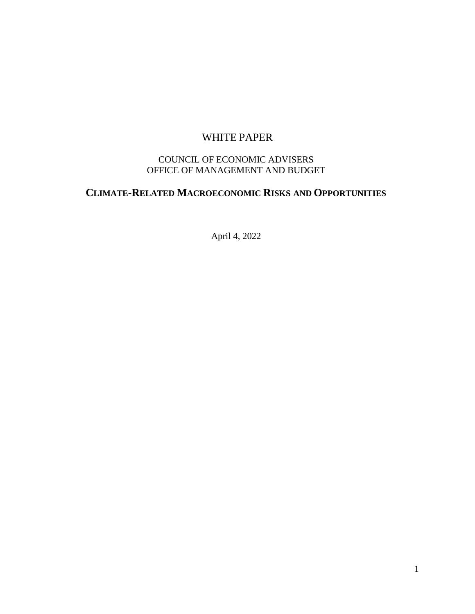# WHITE PAPER

# COUNCIL OF ECONOMIC ADVISERS OFFICE OF MANAGEMENT AND BUDGET

# **CLIMATE-RELATED MACROECONOMIC RISKS AND OPPORTUNITIES**

April 4, 2022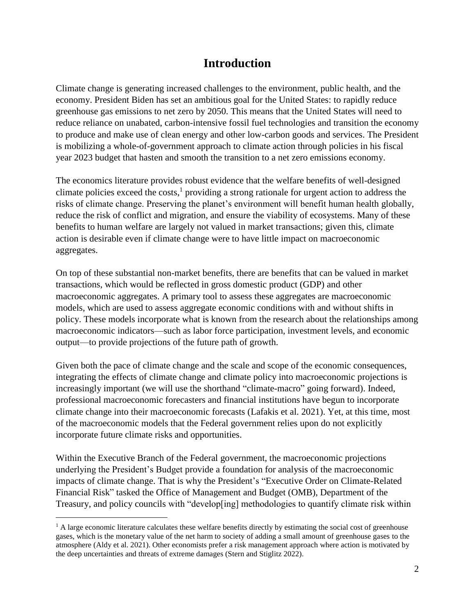# **Introduction**

Climate change is generating increased challenges to the environment, public health, and the economy. President Biden has set an ambitious goal for the United States: to rapidly reduce greenhouse gas emissions to net zero by 2050. This means that the United States will need to reduce reliance on unabated, carbon-intensive fossil fuel technologies and transition the economy to produce and make use of clean energy and other low-carbon goods and services. The President is mobilizing a whole-of-government approach to climate action through policies in his fiscal year 2023 budget that hasten and smooth the transition to a net zero emissions economy.

The economics literature provides robust evidence that the welfare benefits of well-designed climate policies exceed the costs,<sup>1</sup> providing a strong rationale for urgent action to address the risks of climate change. Preserving the planet's environment will benefit human health globally, reduce the risk of conflict and migration, and ensure the viability of ecosystems. Many of these benefits to human welfare are largely not valued in market transactions; given this, climate action is desirable even if climate change were to have little impact on macroeconomic aggregates.

On top of these substantial non-market benefits, there are benefits that can be valued in market transactions, which would be reflected in gross domestic product (GDP) and other macroeconomic aggregates. A primary tool to assess these aggregates are macroeconomic models, which are used to assess aggregate economic conditions with and without shifts in policy. These models incorporate what is known from the research about the relationships among macroeconomic indicators—such as labor force participation, investment levels, and economic output—to provide projections of the future path of growth.

Given both the pace of climate change and the scale and scope of the economic consequences, integrating the effects of climate change and climate policy into macroeconomic projections is increasingly important (we will use the shorthand "climate-macro" going forward). Indeed, professional macroeconomic forecasters and financial institutions have begun to incorporate climate change into their macroeconomic forecasts (Lafakis et al. 2021). Yet, at this time, most of the macroeconomic models that the Federal government relies upon do not explicitly incorporate future climate risks and opportunities.

Within the Executive Branch of the Federal government, the macroeconomic projections underlying the President's Budget provide a foundation for analysis of the macroeconomic impacts of climate change. That is why the President's "Executive Order on Climate-Related Financial Risk" tasked the Office of Management and Budget (OMB), Department of the Treasury, and policy councils with "develop[ing] methodologies to quantify climate risk within

 $\overline{a}$ 

 $1$  A large economic literature calculates these welfare benefits directly by estimating the social cost of greenhouse gases, which is the monetary value of the net harm to society of adding a small amount of greenhouse gases to the atmosphere (Aldy et al. 2021). Other economists prefer a risk management approach where action is motivated by the deep uncertainties and threats of extreme damages (Stern and Stiglitz 2022).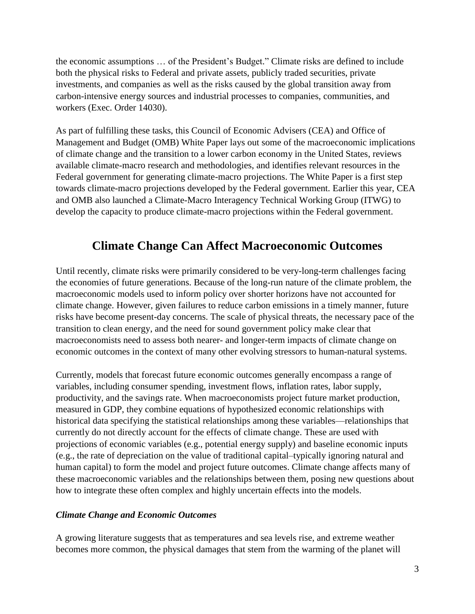the economic assumptions … of the President's Budget." Climate risks are defined to include both the physical risks to Federal and private assets, publicly traded securities, private investments, and companies as well as the risks caused by the global transition away from carbon-intensive energy sources and industrial processes to companies, communities, and workers (Exec. Order 14030).

As part of fulfilling these tasks, this Council of Economic Advisers (CEA) and Office of Management and Budget (OMB) White Paper lays out some of the macroeconomic implications of climate change and the transition to a lower carbon economy in the United States, reviews available climate-macro research and methodologies, and identifies relevant resources in the Federal government for generating climate-macro projections. The White Paper is a first step towards climate-macro projections developed by the Federal government. Earlier this year, CEA and OMB also launched a Climate-Macro Interagency Technical Working Group (ITWG) to develop the capacity to produce climate-macro projections within the Federal government.

# **Climate Change Can Affect Macroeconomic Outcomes**

Until recently, climate risks were primarily considered to be very-long-term challenges facing the economies of future generations. Because of the long-run nature of the climate problem, the macroeconomic models used to inform policy over shorter horizons have not accounted for climate change. However, given failures to reduce carbon emissions in a timely manner, future risks have become present-day concerns. The scale of physical threats, the necessary pace of the transition to clean energy, and the need for sound government policy make clear that macroeconomists need to assess both nearer- and longer-term impacts of climate change on economic outcomes in the context of many other evolving stressors to human-natural systems.

Currently, models that forecast future economic outcomes generally encompass a range of variables, including consumer spending, investment flows, inflation rates, labor supply, productivity, and the savings rate. When macroeconomists project future market production, measured in GDP, they combine equations of hypothesized economic relationships with historical data specifying the statistical relationships among these variables—relationships that currently do not directly account for the effects of climate change. These are used with projections of economic variables (e.g., potential energy supply) and baseline economic inputs (e.g., the rate of depreciation on the value of traditional capital–typically ignoring natural and human capital) to form the model and project future outcomes. Climate change affects many of these macroeconomic variables and the relationships between them, posing new questions about how to integrate these often complex and highly uncertain effects into the models.

#### *Climate Change and Economic Outcomes*

A growing literature suggests that as temperatures and sea levels rise, and extreme weather becomes more common, the physical damages that stem from the warming of the planet will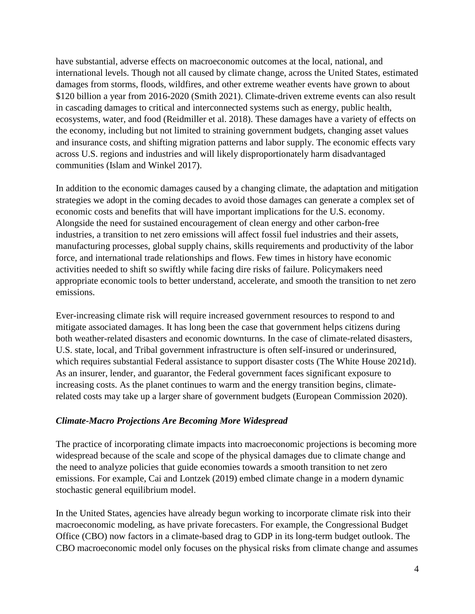have substantial, adverse effects on macroeconomic outcomes at the local, national, and international levels. Though not all caused by climate change, across the United States, estimated damages from storms, floods, wildfires, and other extreme weather events have grown to about \$120 billion a year from 2016-2020 (Smith 2021). Climate-driven extreme events can also result in cascading damages to critical and interconnected systems such as energy, public health, ecosystems, water, and food (Reidmiller et al. 2018). These damages have a variety of effects on the economy, including but not limited to straining government budgets, changing asset values and insurance costs, and shifting migration patterns and labor supply. The economic effects vary across U.S. regions and industries and will likely disproportionately harm disadvantaged communities (Islam and Winkel 2017).

In addition to the economic damages caused by a changing climate, the adaptation and mitigation strategies we adopt in the coming decades to avoid those damages can generate a complex set of economic costs and benefits that will have important implications for the U.S. economy. Alongside the need for sustained encouragement of clean energy and other carbon-free industries, a transition to net zero emissions will affect fossil fuel industries and their assets, manufacturing processes, global supply chains, skills requirements and productivity of the labor force, and international trade relationships and flows. Few times in history have economic activities needed to shift so swiftly while facing dire risks of failure. Policymakers need appropriate economic tools to better understand, accelerate, and smooth the transition to net zero emissions.

Ever-increasing climate risk will require increased government resources to respond to and mitigate associated damages. It has long been the case that government helps citizens during both weather-related disasters and economic downturns. In the case of climate-related disasters, U.S. state, local, and Tribal government infrastructure is often self-insured or underinsured, which requires substantial Federal assistance to support disaster costs (The White House 2021d). As an insurer, lender, and guarantor, the Federal government faces significant exposure to increasing costs. As the planet continues to warm and the energy transition begins, climaterelated costs may take up a larger share of government budgets (European Commission 2020).

# *Climate-Macro Projections Are Becoming More Widespread*

The practice of incorporating climate impacts into macroeconomic projections is becoming more widespread because of the scale and scope of the physical damages due to climate change and the need to analyze policies that guide economies towards a smooth transition to net zero emissions. For example, Cai and Lontzek (2019) embed climate change in a modern dynamic stochastic general equilibrium model.

In the United States, agencies have already begun working to incorporate climate risk into their macroeconomic modeling, as have private forecasters. For example, the Congressional Budget Office (CBO) now factors in a climate-based drag to GDP in its long-term budget outlook. The CBO macroeconomic model only focuses on the physical risks from climate change and assumes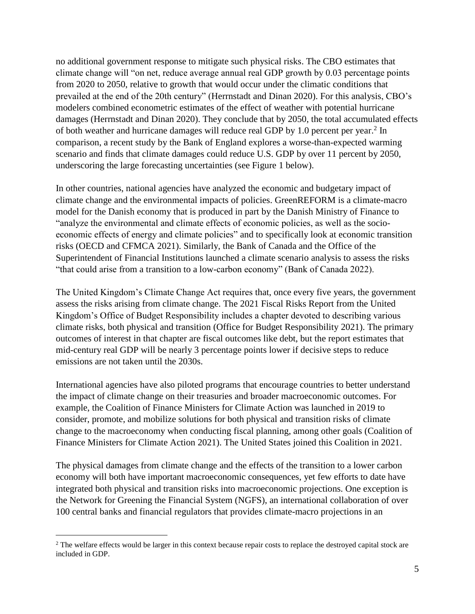no additional government response to mitigate such physical risks. The CBO estimates that climate change will "on net, reduce average annual real GDP growth by 0.03 percentage points from 2020 to 2050, relative to growth that would occur under the climatic conditions that prevailed at the end of the 20th century" (Herrnstadt and Dinan 2020). For this analysis, CBO's modelers combined econometric estimates of the effect of weather with potential hurricane damages (Herrnstadt and Dinan 2020). They conclude that by 2050, the total accumulated effects of both weather and hurricane damages will reduce real GDP by 1.0 percent per year.<sup>2</sup> In comparison, a recent study by the Bank of England explores a worse-than-expected warming scenario and finds that climate damages could reduce U.S. GDP by over 11 percent by 2050, underscoring the large forecasting uncertainties (see Figure 1 below).

In other countries, national agencies have analyzed the economic and budgetary impact of climate change and the environmental impacts of policies. GreenREFORM is a climate-macro model for the Danish economy that is produced in part by the Danish Ministry of Finance to "analyze the environmental and climate effects of economic policies, as well as the socioeconomic effects of energy and climate policies" and to specifically look at economic transition risks (OECD and CFMCA 2021). Similarly, the Bank of Canada and the Office of the Superintendent of Financial Institutions launched a climate scenario analysis to assess the risks "that could arise from a transition to a low-carbon economy" (Bank of Canada 2022).

The United Kingdom's Climate Change Act requires that, once every five years, the government assess the risks arising from climate change. The 2021 Fiscal Risks Report from the United Kingdom's Office of Budget Responsibility includes a chapter devoted to describing various climate risks, both physical and transition (Office for Budget Responsibility 2021). The primary outcomes of interest in that chapter are fiscal outcomes like debt, but the report estimates that mid-century real GDP will be nearly 3 percentage points lower if decisive steps to reduce emissions are not taken until the 2030s.

International agencies have also piloted programs that encourage countries to better understand the impact of climate change on their treasuries and broader macroeconomic outcomes. For example, the Coalition of Finance Ministers for Climate Action was launched in 2019 to consider, promote, and mobilize solutions for both physical and transition risks of climate change to the macroeconomy when conducting fiscal planning, among other goals (Coalition of Finance Ministers for Climate Action 2021). The United States joined this Coalition in 2021.

The physical damages from climate change and the effects of the transition to a lower carbon economy will both have important macroeconomic consequences, yet few efforts to date have integrated both physical and transition risks into macroeconomic projections. One exception is the Network for Greening the Financial System (NGFS), an international collaboration of over 100 central banks and financial regulators that provides climate-macro projections in an

 $\overline{a}$ 

<sup>&</sup>lt;sup>2</sup> The welfare effects would be larger in this context because repair costs to replace the destroyed capital stock are included in GDP.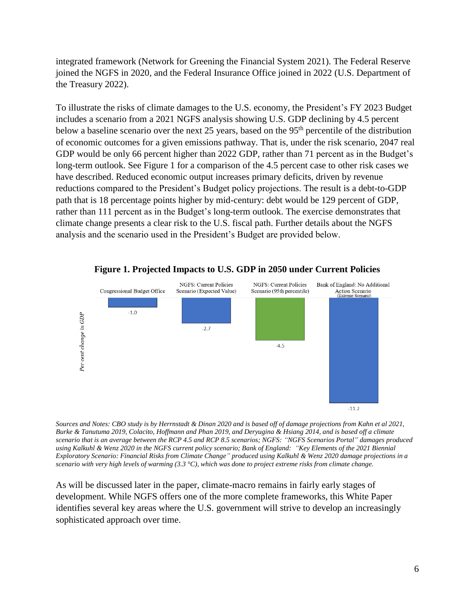integrated framework (Network for Greening the Financial System 2021). The Federal Reserve joined the NGFS in 2020, and the Federal Insurance Office joined in 2022 (U.S. Department of the Treasury 2022).

To illustrate the risks of climate damages to the U.S. economy, the President's FY 2023 Budget includes a scenario from a 2021 NGFS analysis showing U.S. GDP declining by 4.5 percent below a baseline scenario over the next 25 years, based on the 95<sup>th</sup> percentile of the distribution of economic outcomes for a given emissions pathway. That is, under the risk scenario, 2047 real GDP would be only 66 percent higher than 2022 GDP, rather than 71 percent as in the Budget's long-term outlook. See Figure 1 for a comparison of the 4.5 percent case to other risk cases we have described. Reduced economic output increases primary deficits, driven by revenue reductions compared to the President's Budget policy projections. The result is a debt-to-GDP path that is 18 percentage points higher by mid-century: debt would be 129 percent of GDP, rather than 111 percent as in the Budget's long-term outlook. The exercise demonstrates that climate change presents a clear risk to the U.S. fiscal path. Further details about the NGFS analysis and the scenario used in the President's Budget are provided below.



#### **Figure 1. Projected Impacts to U.S. GDP in 2050 under Current Policies**

*Sources and Notes: CBO study is by Herrnstadt & Dinan 2020 and is based off of damage projections from Kahn et al 2021, Burke & Tanutuma 2019, Colacito, Hoffmann and Phan 2019, and Deryugina & Hsiang 2014, and is based off a climate scenario that is an average between the RCP 4.5 and RCP 8.5 scenarios; NGFS: "NGFS Scenarios Portal" damages produced using Kalkuhl & Wenz 2020 in the NGFS current policy scenario; Bank of England: "Key Elements of the 2021 Biennial Exploratory Scenario: Financial Risks from Climate Change" produced using Kalkuhl & Wenz 2020 damage projections in a scenario with very high levels of warming (3.3 °C), which was done to project extreme risks from climate change.*

As will be discussed later in the paper, climate-macro remains in fairly early stages of development. While NGFS offers one of the more complete frameworks, this White Paper identifies several key areas where the U.S. government will strive to develop an increasingly sophisticated approach over time.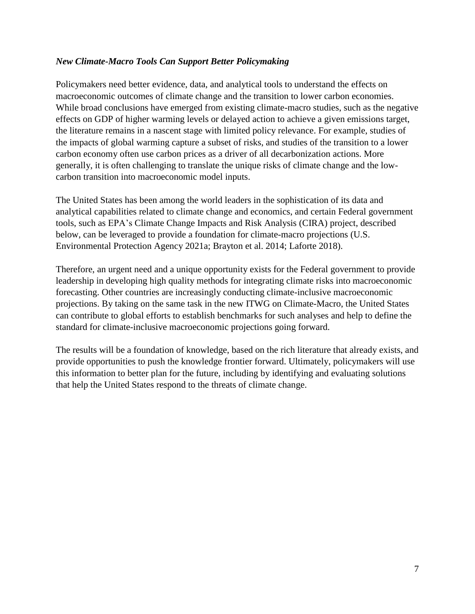### *New Climate-Macro Tools Can Support Better Policymaking*

Policymakers need better evidence, data, and analytical tools to understand the effects on macroeconomic outcomes of climate change and the transition to lower carbon economies. While broad conclusions have emerged from existing climate-macro studies, such as the negative effects on GDP of higher warming levels or delayed action to achieve a given emissions target, the literature remains in a nascent stage with limited policy relevance. For example, studies of the impacts of global warming capture a subset of risks, and studies of the transition to a lower carbon economy often use carbon prices as a driver of all decarbonization actions. More generally, it is often challenging to translate the unique risks of climate change and the lowcarbon transition into macroeconomic model inputs.

The United States has been among the world leaders in the sophistication of its data and analytical capabilities related to climate change and economics, and certain Federal government tools, such as EPA's Climate Change Impacts and Risk Analysis (CIRA) project, described below, can be leveraged to provide a foundation for climate-macro projections (U.S. Environmental Protection Agency 2021a; Brayton et al. 2014; Laforte 2018).

Therefore, an urgent need and a unique opportunity exists for the Federal government to provide leadership in developing high quality methods for integrating climate risks into macroeconomic forecasting. Other countries are increasingly conducting climate-inclusive macroeconomic projections. By taking on the same task in the new ITWG on Climate-Macro, the United States can contribute to global efforts to establish benchmarks for such analyses and help to define the standard for climate-inclusive macroeconomic projections going forward.

The results will be a foundation of knowledge, based on the rich literature that already exists, and provide opportunities to push the knowledge frontier forward. Ultimately, policymakers will use this information to better plan for the future, including by identifying and evaluating solutions that help the United States respond to the threats of climate change.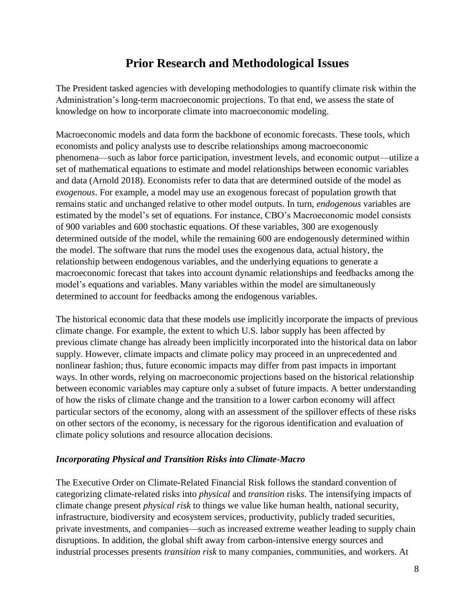# **Prior Research and Methodological Issues**

The President tasked agencies with developing methodologies to quantify climate risk within the Administration's long-term macroeconomic projections. To that end, we assess the state of knowledge on how to incorporate climate into macroeconomic modeling.

Macroeconomic models and data form the backbone of economic forecasts. These tools, which economists and policy analysts use to describe relationships among macroeconomic phenomena—such as labor force participation, investment levels, and economic output—utilize a set of mathematical equations to estimate and model relationships between economic variables and data (Arnold 2018). Economists refer to data that are determined outside of the model as *exogenous*. For example, a model may use an exogenous forecast of population growth that remains static and unchanged relative to other model outputs. In turn, *endogenous* variables are estimated by the model's set of equations. For instance, CBO's Macroeconomic model consists of 900 variables and 600 stochastic equations. Of these variables, 300 are exogenously determined outside of the model, while the remaining 600 are endogenously determined within the model. The software that runs the model uses the exogenous data, actual history, the relationship between endogenous variables, and the underlying equations to generate a macroeconomic forecast that takes into account dynamic relationships and feedbacks among the model's equations and variables. Many variables within the model are simultaneously determined to account for feedbacks among the endogenous variables.

The historical economic data that these models use implicitly incorporate the impacts of previous climate change. For example, the extent to which U.S. labor supply has been affected by previous climate change has already been implicitly incorporated into the historical data on labor supply. However, climate impacts and climate policy may proceed in an unprecedented and nonlinear fashion; thus, future economic impacts may differ from past impacts in important ways. In other words, relying on macroeconomic projections based on the historical relationship between economic variables may capture only a subset of future impacts. A better understanding of how the risks of climate change and the transition to a lower carbon economy will affect particular sectors of the economy, along with an assessment of the spillover effects of these risks on other sectors of the economy, is necessary for the rigorous identification and evaluation of climate policy solutions and resource allocation decisions.

#### *Incorporating Physical and Transition Risks into Climate-Macro*

The Executive Order on Climate-Related Financial Risk follows the standard convention of categorizing climate-related risks into *physical* and *transition* risks. The intensifying impacts of climate change present *physical risk* to things we value like human health, national security, infrastructure, biodiversity and ecosystem services, productivity, publicly traded securities, private investments, and companies—such as increased extreme weather leading to supply chain disruptions. In addition, the global shift away from carbon-intensive energy sources and industrial processes presents *transition risk* to many companies, communities, and workers. At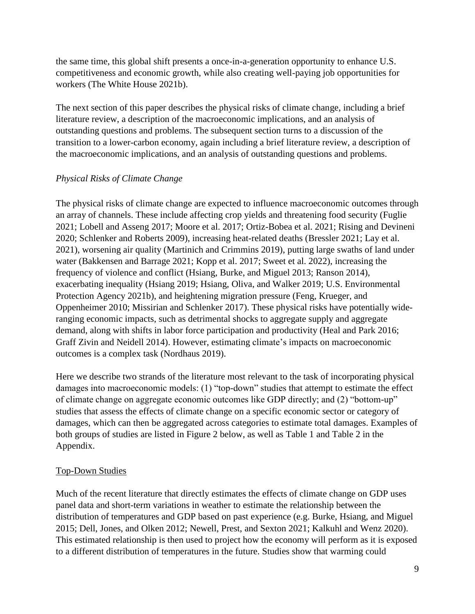the same time, this global shift presents a once-in-a-generation opportunity to enhance U.S. competitiveness and economic growth, while also creating well-paying job opportunities for workers (The White House 2021b).

The next section of this paper describes the physical risks of climate change, including a brief literature review, a description of the macroeconomic implications, and an analysis of outstanding questions and problems. The subsequent section turns to a discussion of the transition to a lower-carbon economy, again including a brief literature review, a description of the macroeconomic implications, and an analysis of outstanding questions and problems.

# *Physical Risks of Climate Change*

The physical risks of climate change are expected to influence macroeconomic outcomes through an array of channels. These include affecting crop yields and threatening food security (Fuglie 2021; Lobell and Asseng 2017; Moore et al. 2017; Ortiz-Bobea et al. 2021; Rising and Devineni 2020; Schlenker and Roberts 2009), increasing heat-related deaths (Bressler 2021; Lay et al. 2021), worsening air quality (Martinich and Crimmins 2019), putting large swaths of land under water (Bakkensen and Barrage 2021; Kopp et al. 2017; Sweet et al. 2022), increasing the frequency of violence and conflict (Hsiang, Burke, and Miguel 2013; Ranson 2014), exacerbating inequality (Hsiang 2019; Hsiang, Oliva, and Walker 2019; U.S. Environmental Protection Agency 2021b), and heightening migration pressure (Feng, Krueger, and Oppenheimer 2010; Missirian and Schlenker 2017). These physical risks have potentially wideranging economic impacts, such as detrimental shocks to aggregate supply and aggregate demand, along with shifts in labor force participation and productivity (Heal and Park 2016; Graff Zivin and Neidell 2014). However, estimating climate's impacts on macroeconomic outcomes is a complex task (Nordhaus 2019).

Here we describe two strands of the literature most relevant to the task of incorporating physical damages into macroeconomic models: (1) "top-down" studies that attempt to estimate the effect of climate change on aggregate economic outcomes like GDP directly; and (2) "bottom-up" studies that assess the effects of climate change on a specific economic sector or category of damages, which can then be aggregated across categories to estimate total damages. Examples of both groups of studies are listed in Figure 2 below, as well as [Table 1](#page-45-0) and [Table 2](#page-46-0) in the Appendix.

# Top-Down Studies

Much of the recent literature that directly estimates the effects of climate change on GDP uses panel data and short-term variations in weather to estimate the relationship between the distribution of temperatures and GDP based on past experience (e.g. Burke, Hsiang, and Miguel 2015; Dell, Jones, and Olken 2012; Newell, Prest, and Sexton 2021; Kalkuhl and Wenz 2020). This estimated relationship is then used to project how the economy will perform as it is exposed to a different distribution of temperatures in the future. Studies show that warming could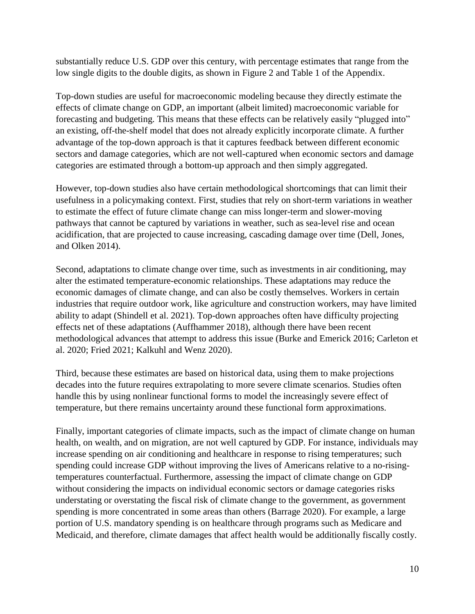substantially reduce U.S. GDP over this century, with percentage estimates that range from the low single digits to the double digits, as shown in [Figure 2](#page-10-0) and [Table 1](#page-45-0) of the Appendix.

Top-down studies are useful for macroeconomic modeling because they directly estimate the effects of climate change on GDP, an important (albeit limited) macroeconomic variable for forecasting and budgeting. This means that these effects can be relatively easily "plugged into" an existing, off-the-shelf model that does not already explicitly incorporate climate. A further advantage of the top-down approach is that it captures feedback between different economic sectors and damage categories, which are not well-captured when economic sectors and damage categories are estimated through a bottom-up approach and then simply aggregated.

However, top-down studies also have certain methodological shortcomings that can limit their usefulness in a policymaking context. First, studies that rely on short-term variations in weather to estimate the effect of future climate change can miss longer-term and slower-moving pathways that cannot be captured by variations in weather, such as sea-level rise and ocean acidification, that are projected to cause increasing, cascading damage over time (Dell, Jones, and Olken 2014).

Second, adaptations to climate change over time, such as investments in air conditioning, may alter the estimated temperature-economic relationships. These adaptations may reduce the economic damages of climate change, and can also be costly themselves. Workers in certain industries that require outdoor work, like agriculture and construction workers, may have limited ability to adapt (Shindell et al. 2021). Top-down approaches often have difficulty projecting effects net of these adaptations (Auffhammer 2018), although there have been recent methodological advances that attempt to address this issue (Burke and Emerick 2016; Carleton et al. 2020; Fried 2021; Kalkuhl and Wenz 2020).

Third, because these estimates are based on historical data, using them to make projections decades into the future requires extrapolating to more severe climate scenarios. Studies often handle this by using nonlinear functional forms to model the increasingly severe effect of temperature, but there remains uncertainty around these functional form approximations.

Finally, important categories of climate impacts, such as the impact of climate change on human health, on wealth, and on migration, are not well captured by GDP. For instance, individuals may increase spending on air conditioning and healthcare in response to rising temperatures; such spending could increase GDP without improving the lives of Americans relative to a no-risingtemperatures counterfactual. Furthermore, assessing the impact of climate change on GDP without considering the impacts on individual economic sectors or damage categories risks understating or overstating the fiscal risk of climate change to the government, as government spending is more concentrated in some areas than others (Barrage 2020). For example, a large portion of U.S. mandatory spending is on healthcare through programs such as Medicare and Medicaid, and therefore, climate damages that affect health would be additionally fiscally costly.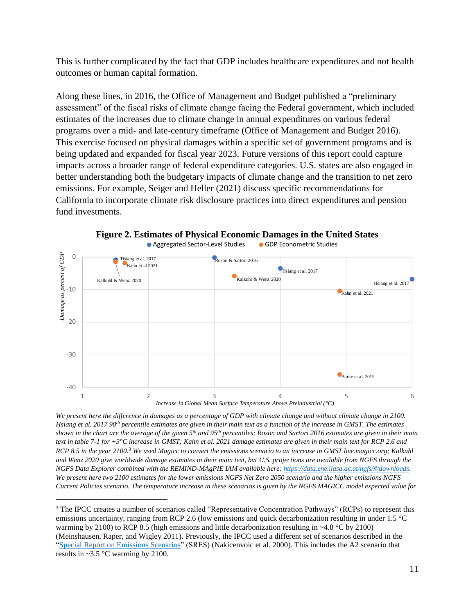This is further complicated by the fact that GDP includes healthcare expenditures and not health outcomes or human capital formation.

Along these lines, in 2016, the Office of Management and Budget published a "preliminary assessment" of the fiscal risks of climate change facing the Federal government, which included estimates of the increases due to climate change in annual expenditures on various federal programs over a mid- and late-century timeframe (Office of Management and Budget 2016). This exercise focused on physical damages within a specific set of government programs and is being updated and expanded for fiscal year 2023. Future versions of this report could capture impacts across a broader range of federal expenditure categories. U.S. states are also engaged in better understanding both the budgetary impacts of climate change and the transition to net zero emissions. For example, Seiger and Heller (2021) discuss specific recommendations for California to incorporate climate risk disclosure practices into direct expenditures and pension fund investments.

<span id="page-10-0"></span>



*We present here the difference in damages as a percentage of GDP with climate change and without climate change in 2100. Hsiang et al. 2017 90th percentile estimates are given in their main text as a function of the increase in GMST. The estimates shown in the chart are the average of the given 5th and 95th percentiles; Roson and Sartori 2016 estimates are given in their main text in table 7-1 for +3°C increase in GMST; Kahn et al. 2021 damage estimates are given in their main text for RCP 2.6 and RCP 8.5 in the year 2100.*<sup>3</sup> *We used Magicc to convert the emissions scenario to an increase in GMST live.magicc.org; Kalkuhl and Wenz 2020 give worldwide damage estimates in their main text, but U.S. projections are available from NGFS through the NGFS Data Explorer combined with the REMIND-MAgPIE IAM available here[: https://data.ene.iiasa.ac.at/ngfs/#/downloads.](https://data.ene.iiasa.ac.at/ngfs/) We present here two 2100 estimates for the lower emissions NGFS Net Zero 2050 scenario and the higher emissions NGFS Current Policies scenario. The temperature increase in these scenarios is given by the NGFS MAGICC model expected value for* 

<sup>3</sup> The IPCC creates a number of scenarios called "Representative Concentration Pathways" (RCPs) to represent this emissions uncertainty, ranging from RCP 2.6 (low emissions and quick decarbonization resulting in under 1.5 °C warming by 2100) to RCP 8.5 (high emissions and little decarbonization resulting in ~4.8 °C by 2100) (Meinshausen, Raper, and Wigley 2011). Previously, the IPCC used a different set of scenarios described in the ["Special Report on Emissions Scenarios"](https://www.ipcc.ch/site/assets/uploads/2018/03/sres-en.pdf) (SRES) (Nakicenvoic et al. 2000). This includes the A2 scenario that results in  $\sim$ 3.5 °C warming by 2100.

 $\overline{a}$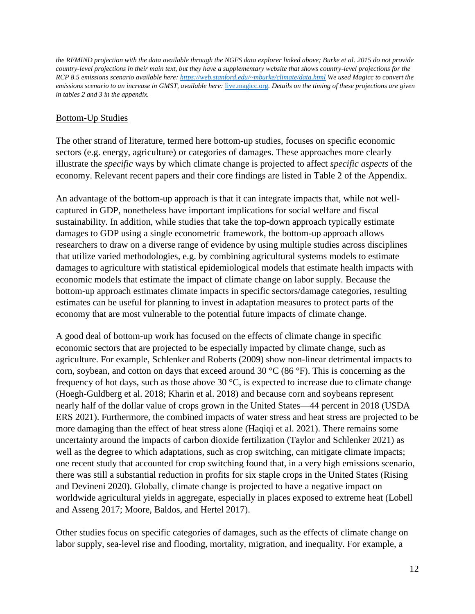*the REMIND projection with the data available through the NGFS data explorer linked above; Burke et al. 2015 do not provide country-level projections in their main text, but they have a supplementary website that shows country-level projections for the RCP 8.5 emissions scenario available here: <https://web.stanford.edu/~mburke/climate/data.html> We used Magicc to convert the emissions scenario to an increase in GMST, available here:* [live.magicc.org](https://live.magicc.org/)*. Details on the timing of these projections are given in tables 2 and 3 in the appendix.*

# Bottom-Up Studies

The other strand of literature, termed here bottom-up studies, focuses on specific economic sectors (e.g. energy, agriculture) or categories of damages. These approaches more clearly illustrate the *specific* ways by which climate change is projected to affect *specific aspects* of the economy. Relevant recent papers and their core findings are listed in [Table 2](#page-46-0) of the Appendix.

An advantage of the bottom-up approach is that it can integrate impacts that, while not wellcaptured in GDP, nonetheless have important implications for social welfare and fiscal sustainability. In addition, while studies that take the top-down approach typically estimate damages to GDP using a single econometric framework, the bottom-up approach allows researchers to draw on a diverse range of evidence by using multiple studies across disciplines that utilize varied methodologies, e.g. by combining agricultural systems models to estimate damages to agriculture with statistical epidemiological models that estimate health impacts with economic models that estimate the impact of climate change on labor supply. Because the bottom-up approach estimates climate impacts in specific sectors/damage categories, resulting estimates can be useful for planning to invest in adaptation measures to protect parts of the economy that are most vulnerable to the potential future impacts of climate change.

A good deal of bottom-up work has focused on the effects of climate change in specific economic sectors that are projected to be especially impacted by climate change, such as agriculture. For example, Schlenker and Roberts (2009) show non-linear detrimental impacts to corn, soybean, and cotton on days that exceed around 30 °C (86 °F). This is concerning as the frequency of hot days, such as those above 30 °C, is expected to increase due to climate change (Hoegh-Guldberg et al. 2018; Kharin et al. 2018) and because corn and soybeans represent nearly half of the dollar value of crops grown in the United States—44 percent in 2018 (USDA ERS 2021). Furthermore, the combined impacts of water stress and heat stress are projected to be more damaging than the effect of heat stress alone (Haqiqi et al. 2021). There remains some uncertainty around the impacts of carbon dioxide fertilization (Taylor and Schlenker 2021) as well as the degree to which adaptations, such as crop switching, can mitigate climate impacts; one recent study that accounted for crop switching found that, in a very high emissions scenario, there was still a substantial reduction in profits for six staple crops in the United States (Rising and Devineni 2020). Globally, climate change is projected to have a negative impact on worldwide agricultural yields in aggregate, especially in places exposed to extreme heat (Lobell and Asseng 2017; Moore, Baldos, and Hertel 2017).

Other studies focus on specific categories of damages, such as the effects of climate change on labor supply, sea-level rise and flooding, mortality, migration, and inequality. For example, a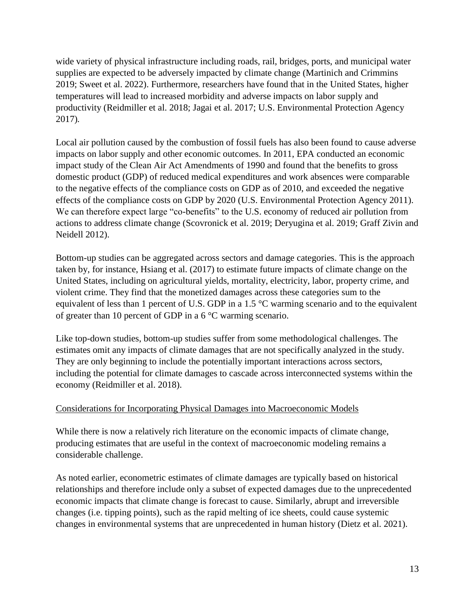wide variety of physical infrastructure including roads, rail, bridges, ports, and municipal water supplies are expected to be adversely impacted by climate change (Martinich and Crimmins 2019; Sweet et al. 2022). Furthermore, researchers have found that in the United States, higher temperatures will lead to increased morbidity and adverse impacts on labor supply and productivity (Reidmiller et al. 2018; Jagai et al. 2017; U.S. Environmental Protection Agency 2017)*.*

Local air pollution caused by the combustion of fossil fuels has also been found to cause adverse impacts on labor supply and other economic outcomes. In 2011, EPA conducted an economic impact study of the Clean Air Act Amendments of 1990 and found that the benefits to gross domestic product (GDP) of reduced medical expenditures and work absences were comparable to the negative effects of the compliance costs on GDP as of 2010, and exceeded the negative effects of the compliance costs on GDP by 2020 (U.S. Environmental Protection Agency 2011). We can therefore expect large "co-benefits" to the U.S. economy of reduced air pollution from actions to address climate change (Scovronick et al. 2019; Deryugina et al. 2019; Graff Zivin and Neidell 2012).

Bottom-up studies can be aggregated across sectors and damage categories. This is the approach taken by, for instance, Hsiang et al. (2017) to estimate future impacts of climate change on the United States, including on agricultural yields, mortality, electricity, labor, property crime, and violent crime. They find that the monetized damages across these categories sum to the equivalent of less than 1 percent of U.S. GDP in a 1.5 °C warming scenario and to the equivalent of greater than 10 percent of GDP in a 6 °C warming scenario.

Like top-down studies, bottom-up studies suffer from some methodological challenges. The estimates omit any impacts of climate damages that are not specifically analyzed in the study. They are only beginning to include the potentially important interactions across sectors, including the potential for climate damages to cascade across interconnected systems within the economy (Reidmiller et al. 2018).

# Considerations for Incorporating Physical Damages into Macroeconomic Models

While there is now a relatively rich literature on the economic impacts of climate change, producing estimates that are useful in the context of macroeconomic modeling remains a considerable challenge.

As noted earlier, econometric estimates of climate damages are typically based on historical relationships and therefore include only a subset of expected damages due to the unprecedented economic impacts that climate change is forecast to cause. Similarly, abrupt and irreversible changes (i.e. tipping points), such as the rapid melting of ice sheets, could cause systemic changes in environmental systems that are unprecedented in human history (Dietz et al. 2021).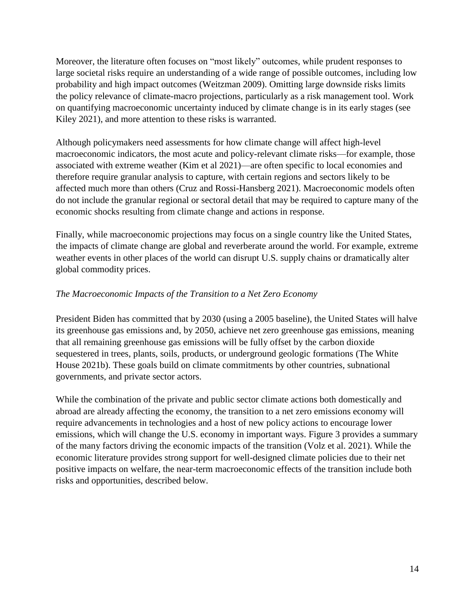Moreover, the literature often focuses on "most likely" outcomes, while prudent responses to large societal risks require an understanding of a wide range of possible outcomes, including low probability and high impact outcomes (Weitzman 2009). Omitting large downside risks limits the policy relevance of climate-macro projections, particularly as a risk management tool. Work on quantifying macroeconomic uncertainty induced by climate change is in its early stages (see Kiley 2021), and more attention to these risks is warranted.

Although policymakers need assessments for how climate change will affect high-level macroeconomic indicators, the most acute and policy-relevant climate risks—for example, those associated with extreme weather (Kim et al 2021)—are often specific to local economies and therefore require granular analysis to capture, with certain regions and sectors likely to be affected much more than others (Cruz and Rossi-Hansberg 2021). Macroeconomic models often do not include the granular regional or sectoral detail that may be required to capture many of the economic shocks resulting from climate change and actions in response.

Finally, while macroeconomic projections may focus on a single country like the United States, the impacts of climate change are global and reverberate around the world. For example, extreme weather events in other places of the world can disrupt U.S. supply chains or dramatically alter global commodity prices.

# *The Macroeconomic Impacts of the Transition to a Net Zero Economy*

President Biden has committed that by 2030 (using a 2005 baseline), the United States will halve its greenhouse gas emissions and, by 2050, achieve net zero greenhouse gas emissions, meaning that all remaining greenhouse gas emissions will be fully offset by the carbon dioxide sequestered in trees, plants, soils, products, or underground geologic formations (The White House 2021b). These goals build on climate commitments by other countries, subnational governments, and private sector actors.

While the combination of the private and public sector climate actions both domestically and abroad are already affecting the economy, the transition to a net zero emissions economy will require advancements in technologies and a host of new policy actions to encourage lower emissions, which will change the U.S. economy in important ways. [Figure 3](#page-14-0) provides a summary of the many factors driving the economic impacts of the transition (Volz et al. 2021). While the economic literature provides strong support for well-designed climate policies due to their net positive impacts on welfare, the near-term macroeconomic effects of the transition include both risks and opportunities, described below.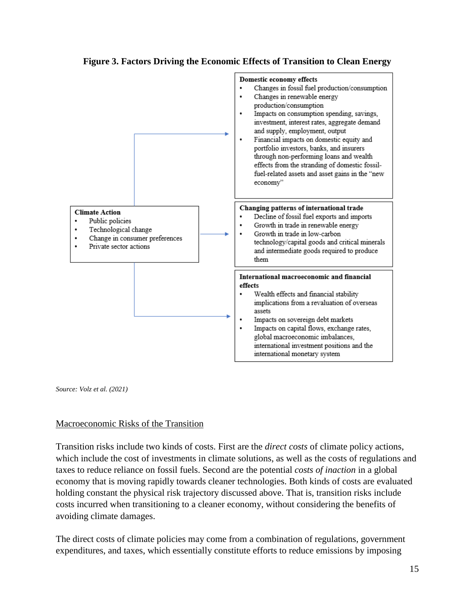**Figure 3. Factors Driving the Economic Effects of Transition to Clean Energy**

<span id="page-14-0"></span>

*Source: Volz et al. (2021)*

# Macroeconomic Risks of the Transition

Transition risks include two kinds of costs. First are the *direct costs* of climate policy actions, which include the cost of investments in climate solutions, as well as the costs of regulations and taxes to reduce reliance on fossil fuels. Second are the potential *costs of inaction* in a global economy that is moving rapidly towards cleaner technologies. Both kinds of costs are evaluated holding constant the physical risk trajectory discussed above. That is, transition risks include costs incurred when transitioning to a cleaner economy, without considering the benefits of avoiding climate damages.

The direct costs of climate policies may come from a combination of regulations, government expenditures, and taxes, which essentially constitute efforts to reduce emissions by imposing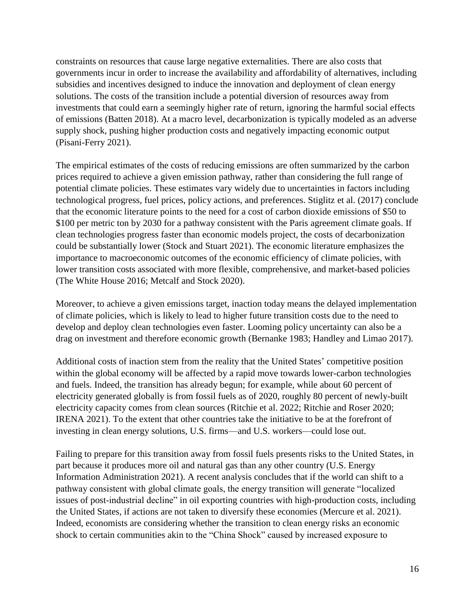constraints on resources that cause large negative externalities. There are also costs that governments incur in order to increase the availability and affordability of alternatives, including subsidies and incentives designed to induce the innovation and deployment of clean energy solutions. The costs of the transition include a potential diversion of resources away from investments that could earn a seemingly higher rate of return, ignoring the harmful social effects of emissions (Batten 2018). At a macro level, decarbonization is typically modeled as an adverse supply shock, pushing higher production costs and negatively impacting economic output (Pisani-Ferry 2021).

The empirical estimates of the costs of reducing emissions are often summarized by the carbon prices required to achieve a given emission pathway, rather than considering the full range of potential climate policies. These estimates vary widely due to uncertainties in factors including technological progress, fuel prices, policy actions, and preferences. Stiglitz et al. (2017) conclude that the economic literature points to the need for a cost of carbon dioxide emissions of \$50 to \$100 per metric ton by 2030 for a pathway consistent with the Paris agreement climate goals. If clean technologies progress faster than economic models project, the costs of decarbonization could be substantially lower (Stock and Stuart 2021). The economic literature emphasizes the importance to macroeconomic outcomes of the economic efficiency of climate policies, with lower transition costs associated with more flexible, comprehensive, and market-based policies (The White House 2016; Metcalf and Stock 2020).

Moreover, to achieve a given emissions target, inaction today means the delayed implementation of climate policies, which is likely to lead to higher future transition costs due to the need to develop and deploy clean technologies even faster. Looming policy uncertainty can also be a drag on investment and therefore economic growth (Bernanke 1983; Handley and Limao 2017).

Additional costs of inaction stem from the reality that the United States' competitive position within the global economy will be affected by a rapid move towards lower-carbon technologies and fuels. Indeed, the transition has already begun; for example, while about 60 percent of electricity generated globally is from fossil fuels as of 2020, roughly 80 percent of newly-built electricity capacity comes from clean sources (Ritchie et al. 2022; Ritchie and Roser 2020; IRENA 2021). To the extent that other countries take the initiative to be at the forefront of investing in clean energy solutions, U.S. firms—and U.S. workers—could lose out.

Failing to prepare for this transition away from fossil fuels presents risks to the United States, in part because it produces more oil and natural gas than any other country (U.S. Energy Information Administration 2021). A recent analysis concludes that if the world can shift to a pathway consistent with global climate goals, the energy transition will generate "localized issues of post-industrial decline" in oil exporting countries with high-production costs, including the United States, if actions are not taken to diversify these economies (Mercure et al. 2021). Indeed, economists are considering whether the transition to clean energy risks an economic shock to certain communities akin to the "China Shock" caused by increased exposure to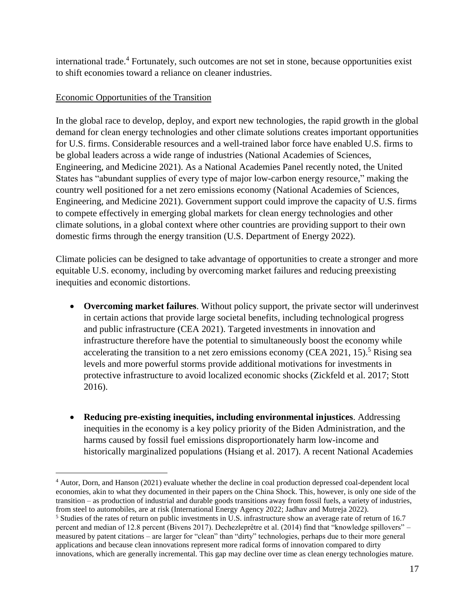international trade.<sup>4</sup> Fortunately, such outcomes are not set in stone, because opportunities exist to shift economies toward a reliance on cleaner industries.

# Economic Opportunities of the Transition

 $\overline{a}$ 

In the global race to develop, deploy, and export new technologies, the rapid growth in the global demand for clean energy technologies and other climate solutions creates important opportunities for U.S. firms. Considerable resources and a well-trained labor force have enabled U.S. firms to be global leaders across a wide range of industries (National Academies of Sciences, Engineering, and Medicine 2021). As a National Academies Panel recently noted, the United States has "abundant supplies of every type of major low-carbon energy resource," making the country well positioned for a net zero emissions economy (National Academies of Sciences, Engineering, and Medicine 2021). Government support could improve the capacity of U.S. firms to compete effectively in emerging global markets for clean energy technologies and other climate solutions, in a global context where other countries are providing support to their own domestic firms through the energy transition (U.S. Department of Energy 2022).

Climate policies can be designed to take advantage of opportunities to create a stronger and more equitable U.S. economy, including by overcoming market failures and reducing preexisting inequities and economic distortions.

- **Overcoming market failures**. Without policy support, the private sector will underinvest in certain actions that provide large societal benefits, including technological progress and public infrastructure (CEA 2021). Targeted investments in innovation and infrastructure therefore have the potential to simultaneously boost the economy while accelerating the transition to a net zero emissions economy (CEA 2021, 15).<sup>5</sup> Rising sea levels and more powerful storms provide additional motivations for investments in protective infrastructure to avoid localized economic shocks (Zickfeld et al. 2017; Stott 2016).
- **Reducing pre-existing inequities, including environmental injustices**. Addressing inequities in the economy is a key policy priority of the Biden Administration, and the harms caused by fossil fuel emissions disproportionately harm low-income and historically marginalized populations (Hsiang et al. 2017). A recent National Academies

<sup>4</sup> Autor, Dorn, and Hanson (2021) evaluate whether the decline in coal production depressed coal-dependent local economies, akin to what they documented in their papers on the China Shock. This, however, is only one side of the transition – as production of industrial and durable goods transitions away from fossil fuels, a variety of industries, from steel to automobiles, are at risk (International Energy Agency 2022; Jadhav and Mutreja 2022).

<sup>5</sup> Studies of the rates of return on public investments in U.S. infrastructure show an average rate of return of 16.7 percent and median of 12.8 percent (Bivens 2017). Dechezleprêtre et al. (2014) find that "knowledge spillovers" – measured by patent citations – are larger for "clean" than "dirty" technologies, perhaps due to their more general applications and because clean innovations represent more radical forms of innovation compared to dirty innovations, which are generally incremental. This gap may decline over time as clean energy technologies mature.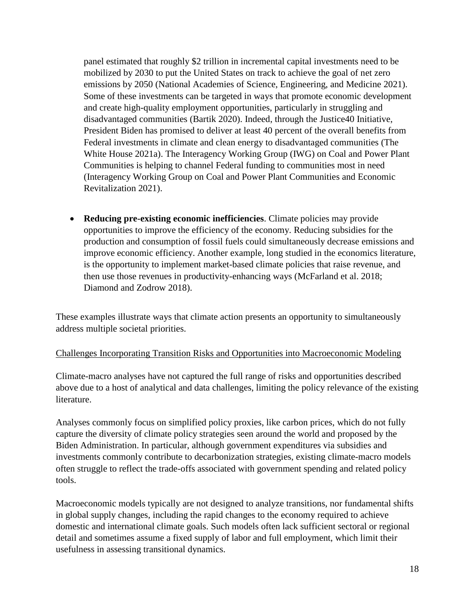panel estimated that roughly \$2 trillion in incremental capital investments need to be mobilized by 2030 to put the United States on track to achieve the goal of net zero emissions by 2050 (National Academies of Science, Engineering, and Medicine 2021). Some of these investments can be targeted in ways that promote economic development and create high-quality employment opportunities, particularly in struggling and disadvantaged communities (Bartik 2020). Indeed, through the Justice40 Initiative, President Biden has promised to deliver at least 40 percent of the overall benefits from Federal investments in climate and clean energy to disadvantaged communities (The White House 2021a). The Interagency Working Group (IWG) on Coal and Power Plant Communities is helping to channel Federal funding to communities most in need (Interagency Working Group on Coal and Power Plant Communities and Economic Revitalization 2021).

• **Reducing pre-existing economic inefficiencies**. Climate policies may provide opportunities to improve the efficiency of the economy. Reducing subsidies for the production and consumption of fossil fuels could simultaneously decrease emissions and improve economic efficiency. Another example, long studied in the economics literature, is the opportunity to implement market-based climate policies that raise revenue, and then use those revenues in productivity-enhancing ways (McFarland et al. 2018; Diamond and Zodrow 2018).

These examples illustrate ways that climate action presents an opportunity to simultaneously address multiple societal priorities.

#### Challenges Incorporating Transition Risks and Opportunities into Macroeconomic Modeling

Climate-macro analyses have not captured the full range of risks and opportunities described above due to a host of analytical and data challenges, limiting the policy relevance of the existing literature.

Analyses commonly focus on simplified policy proxies, like carbon prices, which do not fully capture the diversity of climate policy strategies seen around the world and proposed by the Biden Administration. In particular, although government expenditures via subsidies and investments commonly contribute to decarbonization strategies, existing climate-macro models often struggle to reflect the trade-offs associated with government spending and related policy tools.

Macroeconomic models typically are not designed to analyze transitions, nor fundamental shifts in global supply changes, including the rapid changes to the economy required to achieve domestic and international climate goals. Such models often lack sufficient sectoral or regional detail and sometimes assume a fixed supply of labor and full employment, which limit their usefulness in assessing transitional dynamics.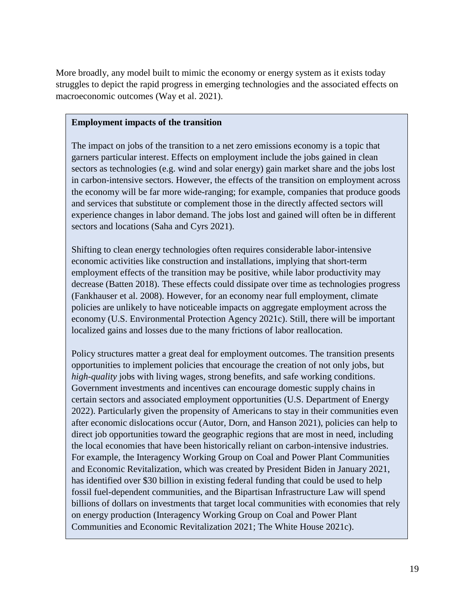More broadly, any model built to mimic the economy or energy system as it exists today struggles to depict the rapid progress in emerging technologies and the associated effects on macroeconomic outcomes (Way et al. 2021).

#### **Employment impacts of the transition**

The impact on jobs of the transition to a net zero emissions economy is a topic that garners particular interest. Effects on employment include the jobs gained in clean sectors as technologies (e.g. wind and solar energy) gain market share and the jobs lost in carbon-intensive sectors. However, the effects of the transition on employment across the economy will be far more wide-ranging; for example, companies that produce goods and services that substitute or complement those in the directly affected sectors will experience changes in labor demand. The jobs lost and gained will often be in different sectors and locations (Saha and Cyrs 2021).

Shifting to clean energy technologies often requires considerable labor-intensive economic activities like construction and installations, implying that short-term employment effects of the transition may be positive, while labor productivity may decrease (Batten 2018). These effects could dissipate over time as technologies progress (Fankhauser et al. 2008). However, for an economy near full employment, climate policies are unlikely to have noticeable impacts on aggregate employment across the economy (U.S. Environmental Protection Agency 2021c). Still, there will be important localized gains and losses due to the many frictions of labor reallocation.

Policy structures matter a great deal for employment outcomes. The transition presents opportunities to implement policies that encourage the creation of not only jobs, but *high-quality* jobs with living wages, strong benefits, and safe working conditions. Government investments and incentives can encourage domestic supply chains in certain sectors and associated employment opportunities (U.S. Department of Energy 2022). Particularly given the propensity of Americans to stay in their communities even after economic dislocations occur (Autor, Dorn, and Hanson 2021), policies can help to direct job opportunities toward the geographic regions that are most in need, including the local economies that have been historically reliant on carbon-intensive industries. For example, the Interagency Working Group on Coal and Power Plant Communities and Economic Revitalization, which was created by President Biden in January 2021, has identified over \$30 billion in existing federal funding that could be used to help fossil fuel-dependent communities, and the Bipartisan Infrastructure Law will spend billions of dollars on investments that target local communities with economies that rely on energy production (Interagency Working Group on Coal and Power Plant Communities and Economic Revitalization 2021; The White House 2021c).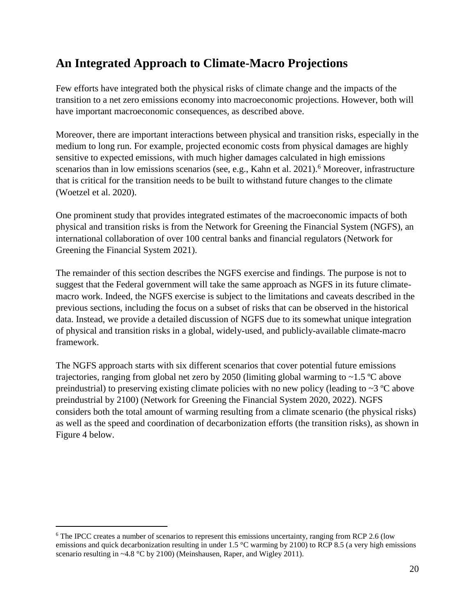# **An Integrated Approach to Climate-Macro Projections**

Few efforts have integrated both the physical risks of climate change and the impacts of the transition to a net zero emissions economy into macroeconomic projections. However, both will have important macroeconomic consequences, as described above.

Moreover, there are important interactions between physical and transition risks, especially in the medium to long run. For example, projected economic costs from physical damages are highly sensitive to expected emissions, with much higher damages calculated in high emissions scenarios than in low emissions scenarios (see, e.g., Kahn et al. 2021).<sup>6</sup> Moreover, infrastructure that is critical for the transition needs to be built to withstand future changes to the climate (Woetzel et al. 2020).

One prominent study that provides integrated estimates of the macroeconomic impacts of both physical and transition risks is from the Network for Greening the Financial System (NGFS), an international collaboration of over 100 central banks and financial regulators (Network for Greening the Financial System 2021).

The remainder of this section describes the NGFS exercise and findings. The purpose is not to suggest that the Federal government will take the same approach as NGFS in its future climatemacro work. Indeed, the NGFS exercise is subject to the limitations and caveats described in the previous sections, including the focus on a subset of risks that can be observed in the historical data. Instead, we provide a detailed discussion of NGFS due to its somewhat unique integration of physical and transition risks in a global, widely-used, and publicly-available climate-macro framework.

The NGFS approach starts with six different scenarios that cover potential future emissions trajectories, ranging from global net zero by 2050 (limiting global warming to  $\sim$  1.5 °C above preindustrial) to preserving existing climate policies with no new policy (leading to  $\sim$ 3 °C above preindustrial by 2100) (Network for Greening the Financial System 2020, 2022). NGFS considers both the total amount of warming resulting from a climate scenario (the physical risks) as well as the speed and coordination of decarbonization efforts (the transition risks), as shown in [Figure 4](#page-20-0) below.

 $\overline{a}$ 

<sup>&</sup>lt;sup>6</sup> The IPCC creates a number of scenarios to represent this emissions uncertainty, ranging from RCP 2.6 (low emissions and quick decarbonization resulting in under 1.5 °C warming by 2100) to RCP 8.5 (a very high emissions scenario resulting in ~4.8 °C by 2100) (Meinshausen, Raper, and Wigley 2011).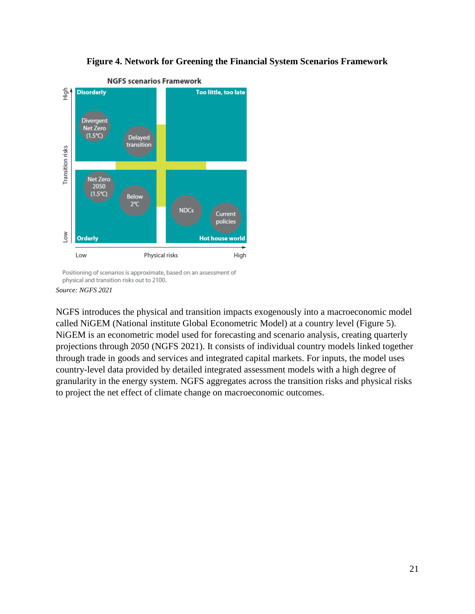

<span id="page-20-0"></span>

Positioning of scenarios is approximate, based on an assessment of physical and transition risks out to 2100.

NGFS introduces the physical and transition impacts exogenously into a macroeconomic model called NiGEM (National institute Global Econometric Model) at a country level (Figure 5). NiGEM is an econometric model used for forecasting and scenario analysis, creating quarterly projections through 2050 (NGFS 2021). It consists of individual country models linked together through trade in goods and services and integrated capital markets. For inputs, the model uses country-level data provided by detailed integrated assessment models with a high degree of granularity in the energy system. NGFS aggregates across the transition risks and physical risks to project the net effect of climate change on macroeconomic outcomes.

*Source: NGFS 2021*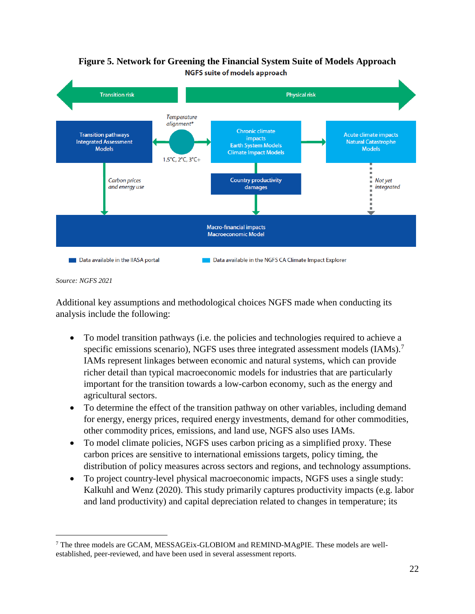# **Figure 5. Network for Greening the Financial System Suite of Models Approach NGFS suite of models approach**



*Source: NGFS 2021*

 $\overline{a}$ 

Additional key assumptions and methodological choices NGFS made when conducting its analysis include the following:

- To model transition pathways (i.e. the policies and technologies required to achieve a specific emissions scenario), NGFS uses three integrated assessment models  $(IAMs)$ .<sup>7</sup> IAMs represent linkages between economic and natural systems, which can provide richer detail than typical macroeconomic models for industries that are particularly important for the transition towards a low-carbon economy, such as the energy and agricultural sectors.
- To determine the effect of the transition pathway on other variables, including demand for energy, energy prices, required energy investments, demand for other commodities, other commodity prices, emissions, and land use, NGFS also uses IAMs.
- To model climate policies, NGFS uses carbon pricing as a simplified proxy. These carbon prices are sensitive to international emissions targets, policy timing, the distribution of policy measures across sectors and regions, and technology assumptions.
- To project country-level physical macroeconomic impacts, NGFS uses a single study: Kalkuhl and Wenz (2020). This study primarily captures productivity impacts (e.g. labor and land productivity) and capital depreciation related to changes in temperature; its

<sup>7</sup> The three models are GCAM, MESSAGEix-GLOBIOM and REMIND-MAgPIE. These models are wellestablished, peer-reviewed, and have been used in several assessment reports.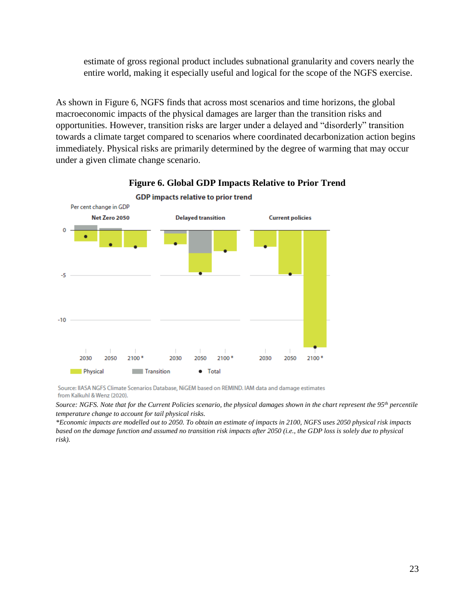estimate of gross regional product includes subnational granularity and covers nearly the entire world, making it especially useful and logical for the scope of the NGFS exercise.

As shown in [Figure 6,](#page-22-0) NGFS finds that across most scenarios and time horizons, the global macroeconomic impacts of the physical damages are larger than the transition risks and opportunities. However, transition risks are larger under a delayed and "disorderly" transition towards a climate target compared to scenarios where coordinated decarbonization action begins immediately. Physical risks are primarily determined by the degree of warming that may occur under a given climate change scenario.

<span id="page-22-0"></span>

**Figure 6. Global GDP Impacts Relative to Prior Trend**

Source: IIASA NGFS Climate Scenarios Database, NiGEM based on REMIND. IAM data and damage estimates from Kalkuhl & Wenz (2020).

*Source: NGFS. Note that for the Current Policies scenario, the physical damages shown in the chart represent the 95th percentile temperature change to account for tail physical risks.*

*\*Economic impacts are modelled out to 2050. To obtain an estimate of impacts in 2100, NGFS uses 2050 physical risk impacts based on the damage function and assumed no transition risk impacts after 2050 (i.e., the GDP loss is solely due to physical risk).*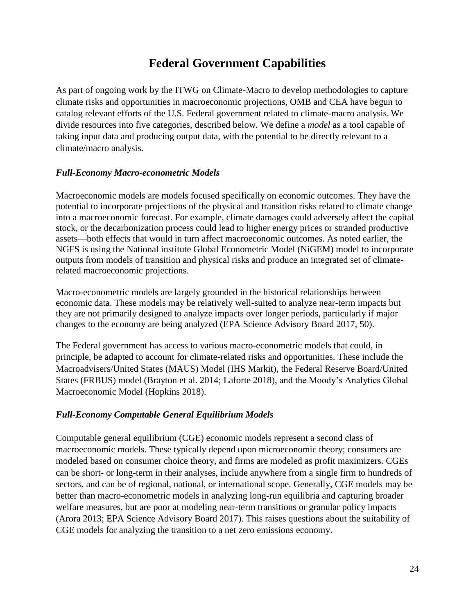# **Federal Government Capabilities**

As part of ongoing work by the ITWG on Climate-Macro to develop methodologies to capture climate risks and opportunities in macroeconomic projections, OMB and CEA have begun to catalog relevant efforts of the U.S. Federal government related to climate-macro analysis. We divide resources into five categories, described below. We define a *model* as a tool capable of taking input data and producing output data, with the potential to be directly relevant to a climate/macro analysis.

#### *Full-Economy Macro-econometric Models*

Macroeconomic models are models focused specifically on economic outcomes. They have the potential to incorporate projections of the physical and transition risks related to climate change into a macroeconomic forecast. For example, climate damages could adversely affect the capital stock, or the decarbonization process could lead to higher energy prices or stranded productive assets—both effects that would in turn affect macroeconomic outcomes. As noted earlier, the NGFS is using the National institute Global Econometric Model (NiGEM) model to incorporate outputs from models of transition and physical risks and produce an integrated set of climaterelated macroeconomic projections.

Macro-econometric models are largely grounded in the historical relationships between economic data. These models may be relatively well-suited to analyze near-term impacts but they are not primarily designed to analyze impacts over longer periods, particularly if major changes to the economy are being analyzed (EPA Science Advisory Board 2017, 50).

The Federal government has access to various macro-econometric models that could, in principle, be adapted to account for climate-related risks and opportunities. These include the Macroadvisers/United States (MAUS) Model (IHS Markit), the Federal Reserve Board/United States (FRBUS) model (Brayton et al. 2014; Laforte 2018), and the Moody's Analytics Global Macroeconomic Model (Hopkins 2018).

# *Full-Economy Computable General Equilibrium Models*

Computable general equilibrium (CGE) economic models represent a second class of macroeconomic models. These typically depend upon microeconomic theory; consumers are modeled based on consumer choice theory, and firms are modeled as profit maximizers. CGEs can be short- or long-term in their analyses, include anywhere from a single firm to hundreds of sectors, and can be of regional, national, or international scope. Generally, CGE models may be better than macro-econometric models in analyzing long-run equilibria and capturing broader welfare measures, but are poor at modeling near-term transitions or granular policy impacts (Arora 2013; EPA Science Advisory Board 2017). This raises questions about the suitability of CGE models for analyzing the transition to a net zero emissions economy.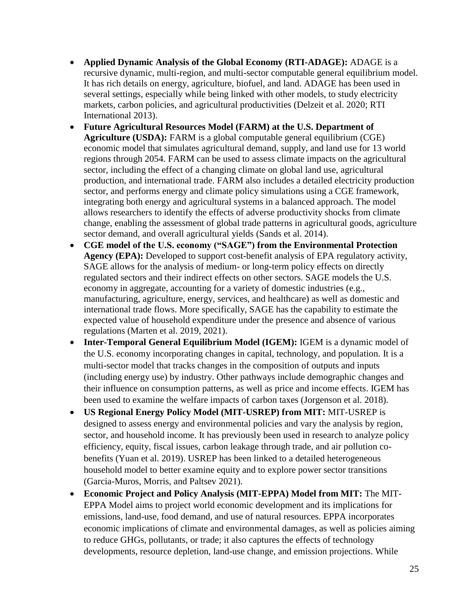- **Applied Dynamic Analysis of the Global Economy (RTI-ADAGE):** ADAGE is a recursive dynamic, multi-region, and multi-sector computable general equilibrium model. It has rich details on energy, agriculture, biofuel, and land. ADAGE has been used in several settings, especially while being linked with other models, to study electricity markets, carbon policies, and agricultural productivities (Delzeit et al. 2020; RTI International 2013).
- **Future Agricultural Resources Model (FARM) at the U.S. Department of Agriculture (USDA):** FARM is a global computable general equilibrium (CGE) economic model that simulates agricultural demand, supply, and land use for 13 world regions through 2054. FARM can be used to assess climate impacts on the agricultural sector, including the effect of a changing climate on global land use, agricultural production, and international trade. FARM also includes a detailed electricity production sector, and performs energy and climate policy simulations using a CGE framework, integrating both energy and agricultural systems in a balanced approach. The model allows researchers to identify the effects of adverse productivity shocks from climate change, enabling the assessment of global trade patterns in agricultural goods, agriculture sector demand, and overall agricultural yields (Sands et al. 2014).
- **CGE model of the U.S. economy ("SAGE") from the Environmental Protection Agency (EPA):** Developed to support cost-benefit analysis of EPA regulatory activity, SAGE allows for the analysis of medium- or long-term policy effects on directly regulated sectors and their indirect effects on other sectors. SAGE models the U.S. economy in aggregate, accounting for a variety of domestic industries (e.g., manufacturing, agriculture, energy, services, and healthcare) as well as domestic and international trade flows. More specifically, SAGE has the capability to estimate the expected value of household expenditure under the presence and absence of various regulations (Marten et al. 2019, 2021).
- **Inter-Temporal General Equilibrium Model (IGEM):** IGEM is a dynamic model of the U.S. economy incorporating changes in capital, technology, and population. It is a multi-sector model that tracks changes in the composition of outputs and inputs (including energy use) by industry. Other pathways include demographic changes and their influence on consumption patterns, as well as price and income effects. IGEM has been used to examine the welfare impacts of carbon taxes (Jorgenson et al. 2018).
- **US Regional Energy Policy Model (MIT-USREP) from MIT:** MIT-USREP is designed to assess energy and environmental policies and vary the analysis by region, sector, and household income. It has previously been used in research to analyze policy efficiency, equity, fiscal issues, carbon leakage through trade, and air pollution cobenefits (Yuan et al. 2019). USREP has been linked to a detailed heterogeneous household model to better examine equity and to explore power sector transitions (Garcia-Muros, Morris, and Paltsev 2021).
- **Economic Project and Policy Analysis (MIT-EPPA) Model from MIT:** The MIT-EPPA Model aims to project world economic development and its implications for emissions, land-use, food demand, and use of natural resources. EPPA incorporates economic implications of climate and environmental damages, as well as policies aiming to reduce GHGs, pollutants, or trade; it also captures the effects of technology developments, resource depletion, land-use change, and emission projections. While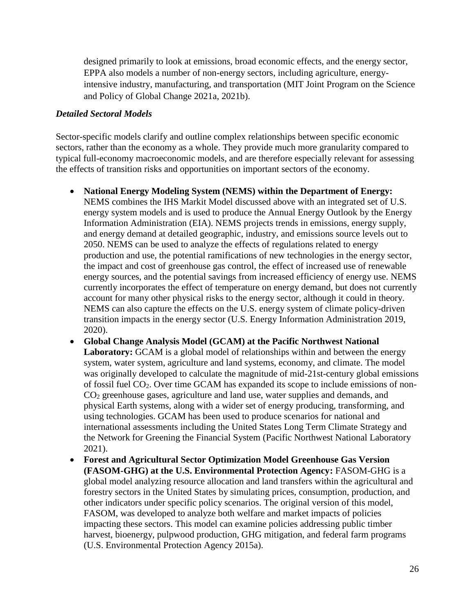designed primarily to look at emissions, broad economic effects, and the energy sector, EPPA also models a number of non-energy sectors, including agriculture, energyintensive industry, manufacturing, and transportation (MIT Joint Program on the Science and Policy of Global Change 2021a, 2021b).

### *Detailed Sectoral Models*

Sector-specific models clarify and outline complex relationships between specific economic sectors, rather than the economy as a whole. They provide much more granularity compared to typical full-economy macroeconomic models, and are therefore especially relevant for assessing the effects of transition risks and opportunities on important sectors of the economy.

- **National Energy Modeling System (NEMS) within the Department of Energy:**  NEMS combines the IHS Markit Model discussed above with an integrated set of U.S. energy system models and is used to produce the Annual Energy Outlook by the Energy Information Administration (EIA). NEMS projects trends in emissions, energy supply, and energy demand at detailed geographic, industry, and emissions source levels out to 2050. NEMS can be used to analyze the effects of regulations related to energy production and use, the potential ramifications of new technologies in the energy sector, the impact and cost of greenhouse gas control, the effect of increased use of renewable energy sources, and the potential savings from increased efficiency of energy use. NEMS currently incorporates the effect of temperature on energy demand, but does not currently account for many other physical risks to the energy sector, although it could in theory. NEMS can also capture the effects on the U.S. energy system of climate policy-driven transition impacts in the energy sector (U.S. Energy Information Administration 2019, 2020).
- **Global Change Analysis Model (GCAM) at the Pacific Northwest National**  Laboratory: GCAM is a global model of relationships within and between the energy system, water system, agriculture and land systems, economy, and climate. The model was originally developed to calculate the magnitude of mid-21st-century global emissions of fossil fuel CO2. Over time GCAM has expanded its scope to include emissions of non-CO<sup>2</sup> greenhouse gases, agriculture and land use, water supplies and demands, and physical Earth systems, along with a wider set of energy producing, transforming, and using technologies. GCAM has been used to produce scenarios for national and international assessments including the United States Long Term Climate Strategy and the Network for Greening the Financial System (Pacific Northwest National Laboratory 2021).
- **Forest and Agricultural Sector Optimization Model Greenhouse Gas Version (FASOM-GHG) at the U.S. Environmental Protection Agency:** FASOM-GHG is a global model analyzing resource allocation and land transfers within the agricultural and forestry sectors in the United States by simulating prices, consumption, production, and other indicators under specific policy scenarios. The original version of this model, FASOM, was developed to analyze both welfare and market impacts of policies impacting these sectors. This model can examine policies addressing public timber harvest, bioenergy, pulpwood production, GHG mitigation, and federal farm programs (U.S. Environmental Protection Agency 2015a).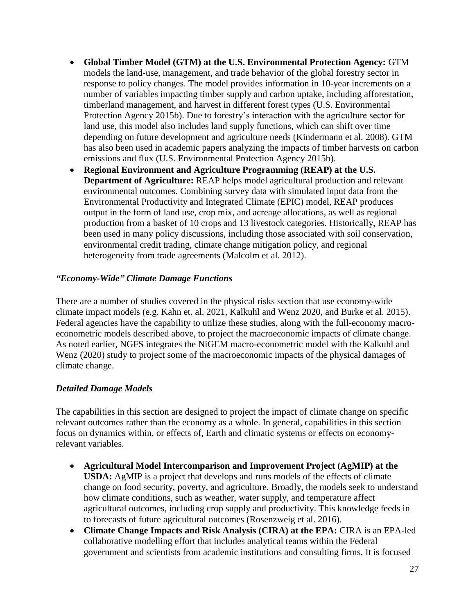- **Global Timber Model (GTM) at the U.S. Environmental Protection Agency:** GTM models the land-use, management, and trade behavior of the global forestry sector in response to policy changes. The model provides information in 10-year increments on a number of variables impacting timber supply and carbon uptake, including afforestation, timberland management, and harvest in different forest types (U.S. Environmental Protection Agency 2015b). Due to forestry's interaction with the agriculture sector for land use, this model also includes land supply functions, which can shift over time depending on future development and agriculture needs (Kindermann et al. 2008). GTM has also been used in academic papers analyzing the impacts of timber harvests on carbon emissions and flux (U.S. Environmental Protection Agency 2015b).
- **Regional Environment and Agriculture Programming (REAP) at the U.S. Department of Agriculture:** REAP helps model agricultural production and relevant environmental outcomes. Combining survey data with simulated input data from the Environmental Productivity and Integrated Climate (EPIC) model, REAP produces output in the form of land use, crop mix, and acreage allocations, as well as regional production from a basket of 10 crops and 13 livestock categories. Historically, REAP has been used in many policy discussions, including those associated with soil conservation, environmental credit trading, climate change mitigation policy, and regional heterogeneity from trade agreements (Malcolm et al. 2012).

# *"Economy-Wide" Climate Damage Functions*

There are a number of studies covered in the physical risks section that use economy-wide climate impact models (e.g. Kahn et. al. 2021, Kalkuhl and Wenz 2020, and Burke et al. 2015). Federal agencies have the capability to utilize these studies, along with the full-economy macroeconometric models described above, to project the macroeconomic impacts of climate change. As noted earlier, NGFS integrates the NiGEM macro-econometric model with the Kalkuhl and Wenz (2020) study to project some of the macroeconomic impacts of the physical damages of climate change.

# *Detailed Damage Models*

The capabilities in this section are designed to project the impact of climate change on specific relevant outcomes rather than the economy as a whole. In general, capabilities in this section focus on dynamics within, or effects of, Earth and climatic systems or effects on economyrelevant variables.

- **Agricultural Model Intercomparison and Improvement Project (AgMIP) at the USDA:** AgMIP is a project that develops and runs models of the effects of climate change on food security, poverty, and agriculture. Broadly, the models seek to understand how climate conditions, such as weather, water supply, and temperature affect agricultural outcomes, including crop supply and productivity. This knowledge feeds in to forecasts of future agricultural outcomes (Rosenzweig et al. 2016).
- **Climate Change Impacts and Risk Analysis (CIRA) at the EPA:** CIRA is an EPA-led collaborative modelling effort that includes analytical teams within the Federal government and scientists from academic institutions and consulting firms. It is focused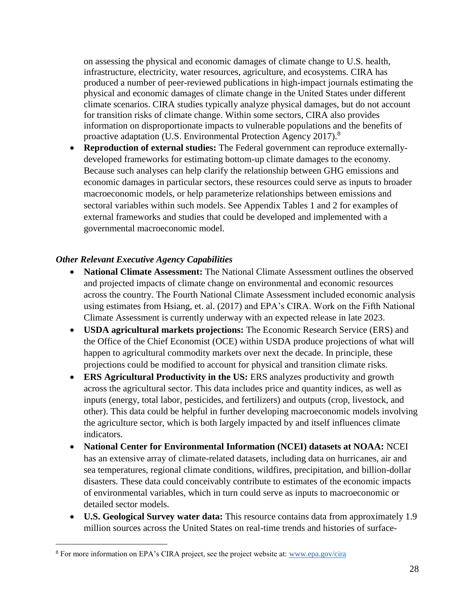on assessing the physical and economic damages of climate change to U.S. health, infrastructure, electricity, water resources, agriculture, and ecosystems. CIRA has produced a number of peer-reviewed publications in high-impact journals estimating the physical and economic damages of climate change in the United States under different climate scenarios. CIRA studies typically analyze physical damages, but do not account for transition risks of climate change. Within some sectors, CIRA also provides information on disproportionate impacts to vulnerable populations and the benefits of proactive adaptation (U.S. Environmental Protection Agency 2017).<sup>8</sup>

• **Reproduction of external studies:** The Federal government can reproduce externallydeveloped frameworks for estimating bottom-up climate damages to the economy. Because such analyses can help clarify the relationship between GHG emissions and economic damages in particular sectors, these resources could serve as inputs to broader macroeconomic models, or help parameterize relationships between emissions and sectoral variables within such models. See Appendix Tables 1 and 2 for examples of external frameworks and studies that could be developed and implemented with a governmental macroeconomic model.

# *Other Relevant Executive Agency Capabilities*

 $\overline{a}$ 

- **National Climate Assessment:** The National Climate Assessment outlines the observed and projected impacts of climate change on environmental and economic resources across the country. The Fourth National Climate Assessment included economic analysis using estimates from Hsiang, et. al. (2017) and EPA's CIRA. Work on the Fifth National Climate Assessment is currently underway with an expected release in late 2023.
- **USDA agricultural markets projections:** The Economic Research Service (ERS) and the Office of the Chief Economist (OCE) within USDA produce projections of what will happen to agricultural commodity markets over next the decade. In principle, these projections could be modified to account for physical and transition climate risks.
- **ERS Agricultural Productivity in the US:** ERS analyzes productivity and growth across the agricultural sector. This data includes price and quantity indices, as well as inputs (energy, total labor, pesticides, and fertilizers) and outputs (crop, livestock, and other). This data could be helpful in further developing macroeconomic models involving the agriculture sector, which is both largely impacted by and itself influences climate indicators.
- **National Center for Environmental Information (NCEI) datasets at NOAA:** NCEI has an extensive array of climate-related datasets, including data on hurricanes, air and sea temperatures, regional climate conditions, wildfires, precipitation, and billion-dollar disasters. These data could conceivably contribute to estimates of the economic impacts of environmental variables, which in turn could serve as inputs to macroeconomic or detailed sector models.
- **U.S. Geological Survey water data:** This resource contains data from approximately 1.9 million sources across the United States on real-time trends and histories of surface-

<sup>8</sup> For more information on EPA's CIRA project, see the project website at: [www.epa.gov/cira](http://www.epa.gov/cira)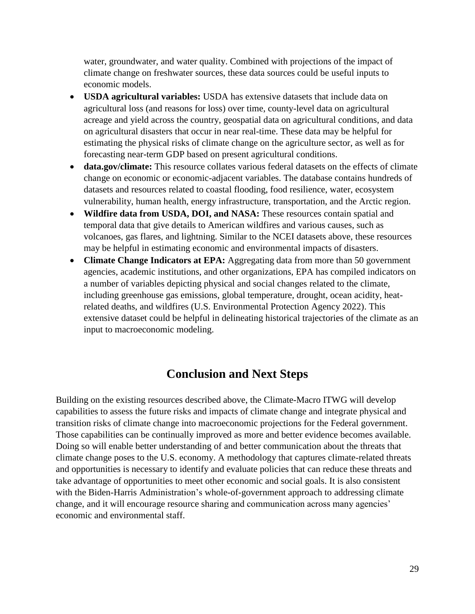water, groundwater, and water quality. Combined with projections of the impact of climate change on freshwater sources, these data sources could be useful inputs to economic models.

- **USDA agricultural variables:** USDA has extensive datasets that include data on agricultural loss (and reasons for loss) over time, county-level data on agricultural acreage and yield across the country, geospatial data on agricultural conditions, and data on agricultural disasters that occur in near real-time. These data may be helpful for estimating the physical risks of climate change on the agriculture sector, as well as for forecasting near-term GDP based on present agricultural conditions.
- **data.gov/climate:** This resource collates various federal datasets on the effects of climate change on economic or economic-adjacent variables. The database contains hundreds of datasets and resources related to coastal flooding, food resilience, water, ecosystem vulnerability, human health, energy infrastructure, transportation, and the Arctic region.
- **Wildfire data from USDA, DOI, and NASA:** These resources contain spatial and temporal data that give details to American wildfires and various causes, such as volcanoes, gas flares, and lightning. Similar to the NCEI datasets above, these resources may be helpful in estimating economic and environmental impacts of disasters.
- **Climate Change Indicators at EPA:** Aggregating data from more than 50 government agencies, academic institutions, and other organizations, EPA has compiled indicators on a number of variables depicting physical and social changes related to the climate, including greenhouse gas emissions, global temperature, drought, ocean acidity, heatrelated deaths, and wildfires (U.S. Environmental Protection Agency 2022). This extensive dataset could be helpful in delineating historical trajectories of the climate as an input to macroeconomic modeling.

# **Conclusion and Next Steps**

Building on the existing resources described above, the Climate-Macro ITWG will develop capabilities to assess the future risks and impacts of climate change and integrate physical and transition risks of climate change into macroeconomic projections for the Federal government. Those capabilities can be continually improved as more and better evidence becomes available. Doing so will enable better understanding of and better communication about the threats that climate change poses to the U.S. economy. A methodology that captures climate-related threats and opportunities is necessary to identify and evaluate policies that can reduce these threats and take advantage of opportunities to meet other economic and social goals. It is also consistent with the Biden-Harris Administration's whole-of-government approach to addressing climate change, and it will encourage resource sharing and communication across many agencies' economic and environmental staff.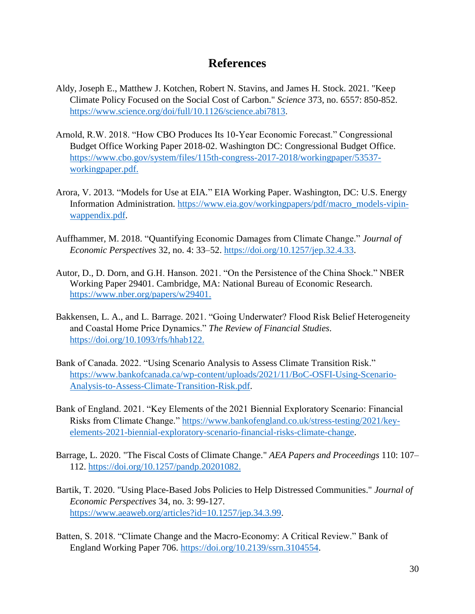# **References**

- Aldy, Joseph E., Matthew J. Kotchen, Robert N. Stavins, and James H. Stock. 2021. "Keep Climate Policy Focused on the Social Cost of Carbon." *Science* 373, no. 6557: 850-852. [https://www.science.org/doi/full/10.1126/science.abi7813.](https://www.science.org/doi/full/10.1126/science.abi7813)
- Arnold, R.W. 2018. "How CBO Produces Its 10-Year Economic Forecast." Congressional Budget Office Working Paper 2018-02. Washington DC: Congressional Budget Office. [https://www.cbo.gov/system/files/115th-congress-2017-2018/workingpaper/53537](https://www.cbo.gov/system/files/115th-congress-2017-2018/workingpaper/53537-workingpaper.pdf) [workingpaper.pdf.](https://www.cbo.gov/system/files/115th-congress-2017-2018/workingpaper/53537-workingpaper.pdf)
- Arora, V. 2013. "Models for Use at EIA*.*" EIA Working Paper. Washington, DC: U.S. Energy Information Administration. [https://www.eia.gov/workingpapers/pdf/macro\\_models-vipin](https://www.eia.gov/workingpapers/pdf/macro_models-vipin-wappendix.pdf)[wappendix.pdf.](https://www.eia.gov/workingpapers/pdf/macro_models-vipin-wappendix.pdf)
- Auffhammer, M. 2018. "Quantifying Economic Damages from Climate Change." *Journal of Economic Perspectives* 32, no. 4: 33–52. [https://doi.org/10.1257/jep.32.4.33.](https://doi.org/10.1257/jep.32.4.33)
- Autor, D., D. Dorn, and G.H. Hanson. 2021. "On the Persistence of the China Shock." NBER Working Paper 29401. Cambridge, MA: National Bureau of Economic Research. [https://www.nber.org/papers/w29401.](https://www.nber.org/papers/w29401)
- Bakkensen, L. A., and L. Barrage. 2021. "Going Underwater? Flood Risk Belief Heterogeneity and Coastal Home Price Dynamics." *The Review of Financial Studies*. [https://doi.org/10.1093/rfs/hhab122.](https://doi.org/10.1093/rfs/hhab122)
- Bank of Canada. 2022. "Using Scenario Analysis to Assess Climate Transition Risk." [https://www.bankofcanada.ca/wp-content/uploads/2021/11/BoC-OSFI-Using-Scenario-](https://www.bankofcanada.ca/wp-content/uploads/2021/11/BoC-OSFI-Using-Scenario-Analysis-to-Assess-Climate-Transition-Risk.pdf)[Analysis-to-Assess-Climate-Transition-Risk.pdf.](https://www.bankofcanada.ca/wp-content/uploads/2021/11/BoC-OSFI-Using-Scenario-Analysis-to-Assess-Climate-Transition-Risk.pdf)
- Bank of England. 2021. "Key Elements of the 2021 Biennial Exploratory Scenario: Financial Risks from Climate Change." [https://www.bankofengland.co.uk/stress-testing/2021/key](https://www.bankofengland.co.uk/stress-testing/2021/key-elements-2021-biennial-exploratory-scenario-financial-risks-climate-change)[elements-2021-biennial-exploratory-scenario-financial-risks-climate-change.](https://www.bankofengland.co.uk/stress-testing/2021/key-elements-2021-biennial-exploratory-scenario-financial-risks-climate-change)
- Barrage, L. 2020. "The Fiscal Costs of Climate Change." *AEA Papers and Proceedings* 110: 107– 112. [https://doi.org/10.1257/pandp.20201082.](https://doi.org/10.1257/pandp.20201082)
- Bartik, T. 2020. "Using Place-Based Jobs Policies to Help Distressed Communities." *Journal of Economic Perspectives* 34, no. 3: 99-127. [https://www.aeaweb.org/articles?id=10.1257/jep.34.3.99.](https://www.aeaweb.org/articles?id=10.1257/jep.34.3.99)
- Batten, S. 2018. "Climate Change and the Macro-Economy: A Critical Review." Bank of England Working Paper 706. [https://doi.org/10.2139/ssrn.3104554.](https://doi.org/10.2139/ssrn.3104554)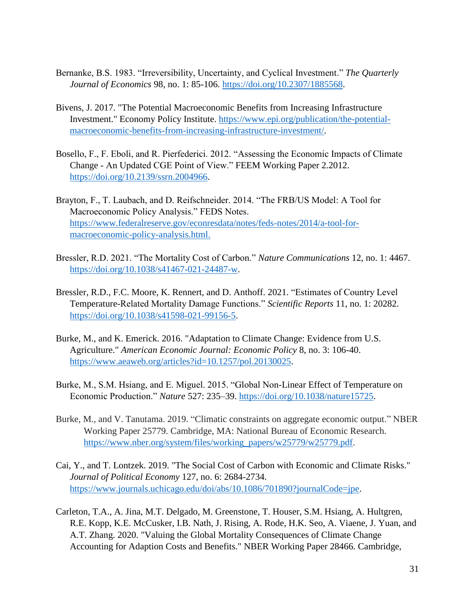- Bernanke, B.S. 1983. "Irreversibility, Uncertainty, and Cyclical Investment." *The Quarterly Journal of Economics* 98, no. 1: 85-106. [https://doi.org/10.2307/1885568.](https://doi.org/10.2307/1885568)
- Bivens, J. 2017. "The Potential Macroeconomic Benefits from Increasing Infrastructure Investment." Economy Policy Institute. [https://www.epi.org/publication/the-potential](https://www.epi.org/publication/the-potential-macroeconomic-benefits-from-increasing-infrastructure-investment/)[macroeconomic-benefits-from-increasing-infrastructure-investment/.](https://www.epi.org/publication/the-potential-macroeconomic-benefits-from-increasing-infrastructure-investment/)
- Bosello, F., F. Eboli, and R. Pierfederici. 2012. "Assessing the Economic Impacts of Climate Change - An Updated CGE Point of View." FEEM Working Paper 2.2012. [https://doi.org/10.2139/ssrn.2004966.](https://doi.org/10.2139/ssrn.2004966)
- Brayton, F., T. Laubach, and D. Reifschneider. 2014. "The FRB/US Model: A Tool for Macroeconomic Policy Analysis." FEDS Notes. [https://www.federalreserve.gov/econresdata/notes/feds-notes/2014/a-tool-for](https://www.federalreserve.gov/econresdata/notes/feds-notes/2014/a-tool-for-macroeconomic-policy-analysis.html)[macroeconomic-policy-analysis.html.](https://www.federalreserve.gov/econresdata/notes/feds-notes/2014/a-tool-for-macroeconomic-policy-analysis.html)
- Bressler, R.D. 2021. "The Mortality Cost of Carbon." *Nature Communications* 12, no. 1: 4467. [https://doi.org/10.1038/s41467-021-24487-w.](https://doi.org/10.1038/s41467-021-24487-w)
- Bressler, R.D., F.C. Moore, K. Rennert, and D. Anthoff. 2021. "Estimates of Country Level Temperature-Related Mortality Damage Functions." *Scientific Reports* 11, no. 1: 20282. [https://doi.org/10.1038/s41598-021-99156-5.](https://doi.org/10.1038/s41598-021-99156-5)
- Burke, M., and K. Emerick. 2016. "Adaptation to Climate Change: Evidence from U.S. Agriculture." *American Economic Journal: Economic Policy* 8, no. 3: 106-40. [https://www.aeaweb.org/articles?id=10.1257/pol.20130025.](https://www.aeaweb.org/articles?id=10.1257/pol.20130025)
- Burke, M., S.M. Hsiang, and E. Miguel. 2015. "Global Non-Linear Effect of Temperature on Economic Production." *Nature* 527: 235–39. [https://doi.org/10.1038/nature15725.](https://doi.org/10.1038/nature15725)
- Burke, M., and V. Tanutama. 2019. "Climatic constraints on aggregate economic output." NBER Working Paper 25779. Cambridge, MA: National Bureau of Economic Research. [https://www.nber.org/system/files/working\\_papers/w25779/w25779.pdf.](https://www.nber.org/system/files/working_papers/w25779/w25779.pdf)
- Cai, Y., and T. Lontzek. 2019. "The Social Cost of Carbon with Economic and Climate Risks." *Journal of Political Economy* 127, no. 6: 2684-2734. [https://www.journals.uchicago.edu/doi/abs/10.1086/701890?journalCode=jpe.](https://www.journals.uchicago.edu/doi/abs/10.1086/701890?journalCode=jpe)
- Carleton, T.A., A. Jina, M.T. Delgado, M. Greenstone, T. Houser, S.M. Hsiang, A. Hultgren, R.E. Kopp, K.E. McCusker, I.B. Nath, J. Rising, A. Rode, H.K. Seo, A. Viaene, J. Yuan, and A.T. Zhang. 2020. "Valuing the Global Mortality Consequences of Climate Change Accounting for Adaption Costs and Benefits." NBER Working Paper 28466. Cambridge,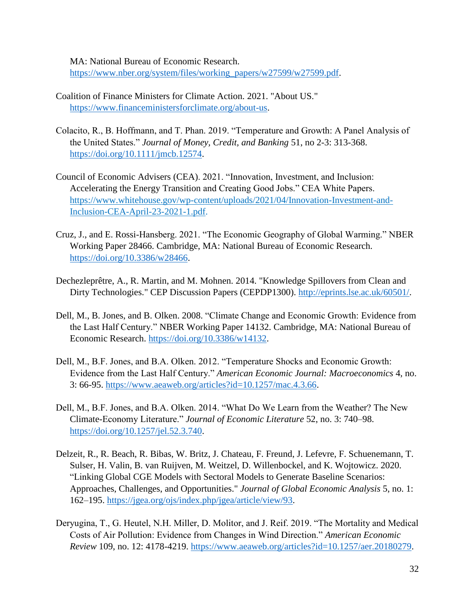MA: National Bureau of Economic Research. [https://www.nber.org/system/files/working\\_papers/w27599/w27599.pdf.](https://www.nber.org/system/files/working_papers/w27599/w27599.pdf)

- Coalition of Finance Ministers for Climate Action. 2021. "About US." [https://www.financeministersforclimate.org/about-us.](https://www.financeministersforclimate.org/about-us)
- Colacito, R., B. Hoffmann, and T. Phan. 2019. "Temperature and Growth: A Panel Analysis of the United States." *Journal of Money, Credit, and Banking* 51, no 2-3: 313-368. [https://doi.org/10.1111/jmcb.12574.](https://doi.org/10.1111/jmcb.12574)
- Council of Economic Advisers (CEA). 2021. "Innovation, Investment, and Inclusion: Accelerating the Energy Transition and Creating Good Jobs." CEA White Papers. [https://www.whitehouse.gov/wp-content/uploads/2021/04/Innovation-Investment-and-](https://www.whitehouse.gov/wp-content/uploads/2021/04/Innovation-Investment-and-Inclusion-CEA-April-23-2021-1.pdf)[Inclusion-CEA-April-23-2021-1.pdf.](https://www.whitehouse.gov/wp-content/uploads/2021/04/Innovation-Investment-and-Inclusion-CEA-April-23-2021-1.pdf)
- Cruz, J., and E. Rossi-Hansberg. 2021. "The Economic Geography of Global Warming." NBER Working Paper 28466. Cambridge, MA: National Bureau of Economic Research. [https://doi.org/10.3386/w28466.](https://doi.org/10.3386/w28466)
- Dechezleprêtre, A., R. Martin, and M. Mohnen. 2014. "Knowledge Spillovers from Clean and Dirty Technologies." CEP Discussion Papers (CEPDP1300). [http://eprints.lse.ac.uk/60501/.](http://eprints.lse.ac.uk/60501/)
- Dell, M., B. Jones, and B. Olken. 2008. "Climate Change and Economic Growth: Evidence from the Last Half Century." NBER Working Paper 14132. Cambridge, MA: National Bureau of Economic Research. [https://doi.org/10.3386/w14132.](https://doi.org/10.3386/w14132)
- Dell, M., B.F. Jones, and B.A. Olken. 2012. "Temperature Shocks and Economic Growth: Evidence from the Last Half Century." *American Economic Journal: Macroeconomics* 4, no. 3: 66-95. [https://www.aeaweb.org/articles?id=10.1257/mac.4.3.66.](https://www.aeaweb.org/articles?id=10.1257/mac.4.3.66)
- Dell, M., B.F. Jones, and B.A. Olken. 2014. "What Do We Learn from the Weather? The New Climate-Economy Literature." *Journal of Economic Literature* 52, no. 3: 740–98. [https://doi.org/10.1257/jel.52.3.740.](https://doi.org/10.1257/jel.52.3.740)
- Delzeit, R., R. Beach, R. Bibas, W. Britz, J. Chateau, F. Freund, J. Lefevre, F. Schuenemann, T. Sulser, H. Valin, B. van Ruijven, M. Weitzel, D. Willenbockel, and K. Wojtowicz. 2020. "Linking Global CGE Models with Sectoral Models to Generate Baseline Scenarios: Approaches, Challenges, and Opportunities." *Journal of Global Economic Analysis* 5, no. 1: 162–195. [https://jgea.org/ojs/index.php/jgea/article/view/93.](https://jgea.org/ojs/index.php/jgea/article/view/93)
- Deryugina, T., G. Heutel, N.H. Miller, D. Molitor, and J. Reif. 2019. "The Mortality and Medical Costs of Air Pollution: Evidence from Changes in Wind Direction." *American Economic Review* 109, no. 12: 4178-4219. [https://www.aeaweb.org/articles?id=10.1257/aer.20180279.](https://www.aeaweb.org/articles?id=10.1257/aer.20180279)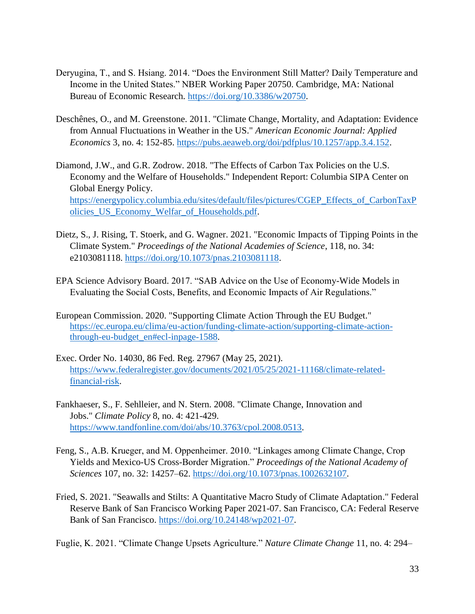- Deryugina, T., and S. Hsiang. 2014. "Does the Environment Still Matter? Daily Temperature and Income in the United States." NBER Working Paper 20750. Cambridge, MA: National Bureau of Economic Research. [https://doi.org/10.3386/w20750.](https://doi.org/10.3386/w20750)
- Deschênes, O., and M. Greenstone. 2011. "Climate Change, Mortality, and Adaptation: Evidence from Annual Fluctuations in Weather in the US." *American Economic Journal: Applied Economics* 3, no. 4: 152-85. [https://pubs.aeaweb.org/doi/pdfplus/10.1257/app.3.4.152.](https://pubs.aeaweb.org/doi/pdfplus/10.1257/app.3.4.152)
- Diamond, J.W., and G.R. Zodrow. 2018. "The Effects of Carbon Tax Policies on the U.S. Economy and the Welfare of Households." Independent Report: Columbia SIPA Center on Global Energy Policy. [https://energypolicy.columbia.edu/sites/default/files/pictures/CGEP\\_Effects\\_of\\_CarbonTaxP](https://energypolicy.columbia.edu/sites/default/files/pictures/CGEP_Effects_of_CarbonTaxPolicies_US_Economy_Welfar_of_Households.pdf) [olicies\\_US\\_Economy\\_Welfar\\_of\\_Households.pdf.](https://energypolicy.columbia.edu/sites/default/files/pictures/CGEP_Effects_of_CarbonTaxPolicies_US_Economy_Welfar_of_Households.pdf)
- Dietz, S., J. Rising, T. Stoerk, and G. Wagner. 2021. "Economic Impacts of Tipping Points in the Climate System." *Proceedings of the National Academies of Science*, 118, no. 34: e2103081118. [https://doi.org/10.1073/pnas.2103081118.](https://doi.org/10.1073/pnas.2103081118)
- EPA Science Advisory Board. 2017. "SAB Advice on the Use of Economy-Wide Models in Evaluating the Social Costs, Benefits, and Economic Impacts of Air Regulations."
- European Commission. 2020. "Supporting Climate Action Through the EU Budget." [https://ec.europa.eu/clima/eu-action/funding-climate-action/supporting-climate-action](https://ec.europa.eu/clima/eu-action/funding-climate-action/supporting-climate-action-through-eu-budget_en#ecl-inpage-1588)[through-eu-budget\\_en#ecl-inpage-1588.](https://ec.europa.eu/clima/eu-action/funding-climate-action/supporting-climate-action-through-eu-budget_en#ecl-inpage-1588)
- Exec. Order No. 14030, 86 Fed. Reg. 27967 (May 25, 2021). [https://www.federalregister.gov/documents/2021/05/25/2021-11168/climate-related](https://www.federalregister.gov/documents/2021/05/25/2021-11168/climate-related-financial-risk)[financial-risk.](https://www.federalregister.gov/documents/2021/05/25/2021-11168/climate-related-financial-risk)
- Fankhaeser, S., F. Sehlleier, and N. Stern. 2008. "Climate Change, Innovation and Jobs." *Climate Policy* 8, no. 4: 421-429. [https://www.tandfonline.com/doi/abs/10.3763/cpol.2008.0513.](https://www.tandfonline.com/doi/abs/10.3763/cpol.2008.0513)
- Feng, S., A.B. Krueger, and M. Oppenheimer. 2010. "Linkages among Climate Change, Crop Yields and Mexico-US Cross-Border Migration." *Proceedings of the National Academy of Sciences* 107, no. 32: 14257–62. [https://doi.org/10.1073/pnas.1002632107.](https://doi.org/10.1073/pnas.1002632107)
- Fried, S. 2021. "Seawalls and Stilts: A Quantitative Macro Study of Climate Adaptation." Federal Reserve Bank of San Francisco Working Paper 2021-07. San Francisco, CA: Federal Reserve Bank of San Francisco. [https://doi.org/10.24148/wp2021-07.](https://doi.org/10.24148/wp2021-07)

Fuglie, K. 2021. "Climate Change Upsets Agriculture." *Nature Climate Change* 11, no. 4: 294–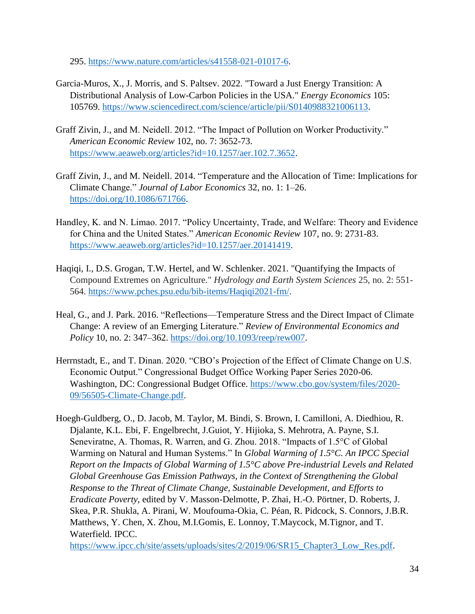295. [https://www.nature.com/articles/s41558-021-01017-6.](https://www.nature.com/articles/s41558-021-01017-6)

- Garcia-Muros, X., J. Morris, and S. Paltsev. 2022. "Toward a Just Energy Transition: A Distributional Analysis of Low-Carbon Policies in the USA." *Energy Economics* 105: 105769. [https://www.sciencedirect.com/science/article/pii/S0140988321006113.](https://www.sciencedirect.com/science/article/pii/S0140988321006113)
- Graff Zivin, J., and M. Neidell. 2012. "The Impact of Pollution on Worker Productivity." *American Economic Review* 102, no. 7: 3652-73. [https://www.aeaweb.org/articles?id=10.1257/aer.102.7.3652.](https://www.aeaweb.org/articles?id=10.1257/aer.102.7.3652)
- Graff Zivin, J., and M. Neidell. 2014. "Temperature and the Allocation of Time: Implications for Climate Change." *Journal of Labor Economics* 32, no. 1: 1–26. [https://doi.org/10.1086/671766.](https://doi.org/10.1086/671766)
- Handley, K. and N. Limao. 2017. "Policy Uncertainty, Trade, and Welfare: Theory and Evidence for China and the United States." *American Economic Review* 107, no. 9: 2731-83. [https://www.aeaweb.org/articles?id=10.1257/aer.20141419.](https://www.aeaweb.org/articles?id=10.1257/aer.20141419)
- Haqiqi, I., D.S. Grogan, T.W. Hertel, and W. Schlenker. 2021. "Quantifying the Impacts of Compound Extremes on Agriculture." *Hydrology and Earth System Sciences* 25, no. 2: 551- 564. [https://www.pches.psu.edu/bib-items/Haqiqi2021-fm/.](https://www.pches.psu.edu/bib-items/Haqiqi2021-fm/)
- Heal, G., and J. Park. 2016. "Reflections—Temperature Stress and the Direct Impact of Climate Change: A review of an Emerging Literature." *Review of Environmental Economics and Policy* 10, no. 2: 347–362. [https://doi.org/10.1093/reep/rew007.](https://doi.org/10.1093/reep/rew007)
- Herrnstadt, E., and T. Dinan. 2020. "CBO's Projection of the Effect of Climate Change on U.S. Economic Output." Congressional Budget Office Working Paper Series 2020-06. Washington, DC: Congressional Budget Office. [https://www.cbo.gov/system/files/2020-](https://www.cbo.gov/system/files/2020-09/56505-Climate-Change.pdf) [09/56505-Climate-Change.pdf.](https://www.cbo.gov/system/files/2020-09/56505-Climate-Change.pdf)
- Hoegh-Guldberg, O., D. Jacob, M. Taylor, M. Bindi, S. Brown, I. Camilloni, A. Diedhiou, R. Djalante, K.L. Ebi, F. Engelbrecht, J.Guiot, Y. Hijioka, S. Mehrotra, A. Payne, S.I. Seneviratne, A. Thomas, R. Warren, and G. Zhou. 2018. "Impacts of 1.5°C of Global Warming on Natural and Human Systems." In *Global Warming of 1.5°C. An IPCC Special Report on the Impacts of Global Warming of 1.5°C above Pre-industrial Levels and Related Global Greenhouse Gas Emission Pathways, in the Context of Strengthening the Global Response to the Threat of Climate Change, Sustainable Development, and Efforts to Eradicate Poverty*, edited by V. Masson-Delmotte, P. Zhai, H.-O. Pörtner, D. Roberts, J. Skea, P.R. Shukla, A. Pirani, W. Moufouma-Okia, C. Péan, R. Pidcock, S. Connors, J.B.R. Matthews, Y. Chen, X. Zhou, M.I.Gomis, E. Lonnoy, T.Maycock, M.Tignor, and T. Waterfield. IPCC.

[https://www.ipcc.ch/site/assets/uploads/sites/2/2019/06/SR15\\_Chapter3\\_Low\\_Res.pdf.](https://www.ipcc.ch/site/assets/uploads/sites/2/2019/06/SR15_Chapter3_Low_Res.pdf)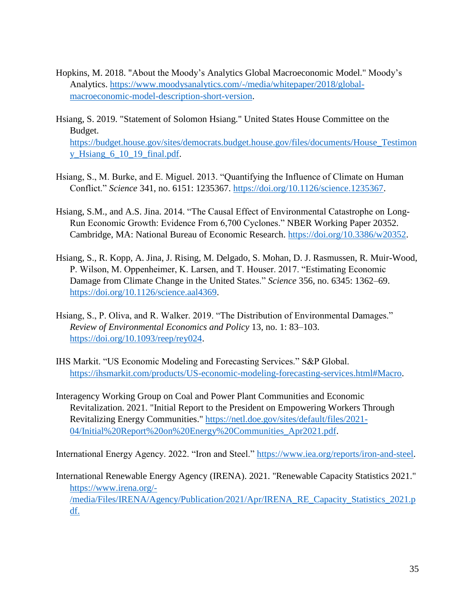- Hopkins, M. 2018. "About the Moody's Analytics Global Macroeconomic Model." Moody's Analytics. [https://www.moodysanalytics.com/-/media/whitepaper/2018/global](https://www.moodysanalytics.com/-/media/whitepaper/2018/global-macroeconomic-model-description-short-version)[macroeconomic-model-description-short-version.](https://www.moodysanalytics.com/-/media/whitepaper/2018/global-macroeconomic-model-description-short-version)
- Hsiang, S. 2019. "Statement of Solomon Hsiang." United States House Committee on the Budget. [https://budget.house.gov/sites/democrats.budget.house.gov/files/documents/House\\_Testimon](https://budget.house.gov/sites/democrats.budget.house.gov/files/documents/House_Testimony_Hsiang_6_10_19_final.pdf) y Hsiang  $6$  10 19 final.pdf.
- Hsiang, S., M. Burke, and E. Miguel. 2013. "Quantifying the Influence of Climate on Human Conflict." *Science* 341, no. 6151: 1235367. [https://doi.org/10.1126/science.1235367.](https://doi.org/10.1126/science.1235367)
- Hsiang, S.M., and A.S. Jina. 2014. "The Causal Effect of Environmental Catastrophe on Long-Run Economic Growth: Evidence From 6,700 Cyclones." NBER Working Paper 20352. Cambridge, MA: National Bureau of Economic Research. [https://doi.org/10.3386/w20352.](https://doi.org/10.3386/w20352)
- Hsiang, S., R. Kopp, A. Jina, J. Rising, M. Delgado, S. Mohan, D. J. Rasmussen, R. Muir-Wood, P. Wilson, M. Oppenheimer, K. Larsen, and T. Houser. 2017. "Estimating Economic Damage from Climate Change in the United States." *Science* 356, no. 6345: 1362–69. [https://doi.org/10.1126/science.aal4369.](https://doi.org/10.1126/science.aal4369)
- Hsiang, S., P. Oliva, and R. Walker. 2019. "The Distribution of Environmental Damages." *Review of Environmental Economics and Policy* 13, no. 1: 83–103. [https://doi.org/10.1093/reep/rey024.](https://doi.org/10.1093/reep/rey024)
- IHS Markit. "US Economic Modeling and Forecasting Services." S&P Global. [https://ihsmarkit.com/products/US-economic-modeling-forecasting-services.html#Macro.](https://ihsmarkit.com/products/US-economic-modeling-forecasting-services.html#Macro)
- Interagency Working Group on Coal and Power Plant Communities and Economic Revitalization. 2021. "Initial Report to the President on Empowering Workers Through Revitalizing Energy Communities." [https://netl.doe.gov/sites/default/files/2021-](https://netl.doe.gov/sites/default/files/2021-04/Initial%20Report%20on%20Energy%20Communities_Apr2021.pdf) [04/Initial%20Report%20on%20Energy%20Communities\\_Apr2021.pdf.](https://netl.doe.gov/sites/default/files/2021-04/Initial%20Report%20on%20Energy%20Communities_Apr2021.pdf)

International Energy Agency. 2022. "Iron and Steel." [https://www.iea.org/reports/iron-and-steel.](https://www.iea.org/reports/iron-and-steel)

International Renewable Energy Agency (IRENA). 2021. "Renewable Capacity Statistics 2021." [https://www.irena.org/-](https://www.irena.org/-/media/Files/IRENA/Agency/Publication/2021/Apr/IRENA_RE_Capacity_Statistics_2021.pdf) [/media/Files/IRENA/Agency/Publication/2021/Apr/IRENA\\_RE\\_Capacity\\_Statistics\\_2021.p](https://www.irena.org/-/media/Files/IRENA/Agency/Publication/2021/Apr/IRENA_RE_Capacity_Statistics_2021.pdf) [df.](https://www.irena.org/-/media/Files/IRENA/Agency/Publication/2021/Apr/IRENA_RE_Capacity_Statistics_2021.pdf)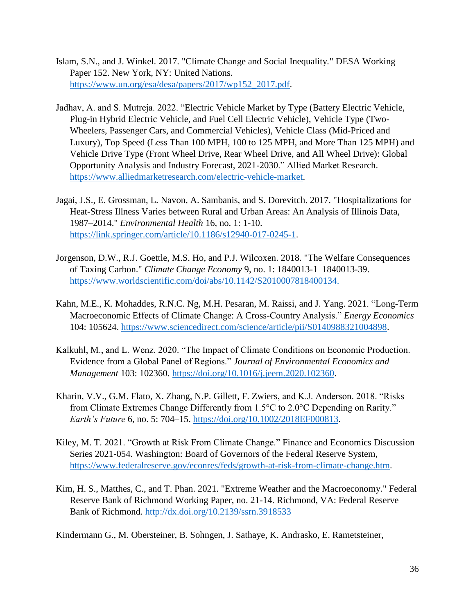- Islam, S.N., and J. Winkel. 2017. "Climate Change and Social Inequality*.*" DESA Working Paper 152. New York, NY: United Nations. [https://www.un.org/esa/desa/papers/2017/wp152\\_2017.pdf.](https://www.un.org/esa/desa/papers/2017/wp152_2017.pdf)
- Jadhav, A. and S. Mutreja. 2022. "Electric Vehicle Market by Type (Battery Electric Vehicle, Plug-in Hybrid Electric Vehicle, and Fuel Cell Electric Vehicle), Vehicle Type (Two-Wheelers, Passenger Cars, and Commercial Vehicles), Vehicle Class (Mid-Priced and Luxury), Top Speed (Less Than 100 MPH, 100 to 125 MPH, and More Than 125 MPH) and Vehicle Drive Type (Front Wheel Drive, Rear Wheel Drive, and All Wheel Drive): Global Opportunity Analysis and Industry Forecast, 2021-2030." Allied Market Research. [https://www.alliedmarketresearch.com/electric-vehicle-market.](https://www.alliedmarketresearch.com/electric-vehicle-market)
- Jagai, J.S., E. Grossman, L. Navon, A. Sambanis, and S. Dorevitch. 2017. "Hospitalizations for Heat-Stress Illness Varies between Rural and Urban Areas: An Analysis of Illinois Data, 1987–2014." *Environmental Health* 16, no. 1: 1-10. [https://link.springer.com/article/10.1186/s12940-017-0245-1.](https://link.springer.com/article/10.1186/s12940-017-0245-1)
- Jorgenson, D.W., R.J. Goettle, M.S. Ho, and P.J. Wilcoxen. 2018. "The Welfare Consequences of Taxing Carbon." *Climate Change Economy* 9, no. 1: 1840013-1–1840013-39. [https://www.worldscientific.com/doi/abs/10.1142/S2010007818400134.](https://www.worldscientific.com/doi/abs/10.1142/S2010007818400134)
- Kahn, M.E., K. Mohaddes, R.N.C. Ng, M.H. Pesaran, M. Raissi, and J. Yang. 2021. "Long-Term Macroeconomic Effects of Climate Change: A Cross-Country Analysis." *Energy Economics* 104: 105624. [https://www.sciencedirect.com/science/article/pii/S0140988321004898.](https://www.sciencedirect.com/science/article/pii/S0140988321004898)
- Kalkuhl, M., and L. Wenz. 2020. "The Impact of Climate Conditions on Economic Production. Evidence from a Global Panel of Regions." *Journal of Environmental Economics and Management* 103: 102360. [https://doi.org/10.1016/j.jeem.2020.102360.](https://doi.org/10.1016/j.jeem.2020.102360)
- Kharin, V.V., G.M. Flato, X. Zhang, N.P. Gillett, F. Zwiers, and K.J. Anderson. 2018. "Risks from Climate Extremes Change Differently from 1.5°C to 2.0°C Depending on Rarity." *Earth's Future* 6, no. 5: 704–15. [https://doi.org/10.1002/2018EF000813.](https://doi.org/10.1002/2018EF000813)
- Kiley, M. T. 2021. "Growth at Risk From Climate Change." Finance and Economics Discussion Series 2021-054. Washington: Board of Governors of the Federal Reserve System, [https://www.federalreserve.gov/econres/feds/growth-at-risk-from-climate-change.htm.](https://www.federalreserve.gov/econres/feds/growth-at-risk-from-climate-change.htm)
- Kim, H. S., Matthes, C., and T. Phan. 2021. "Extreme Weather and the Macroeconomy*.*" Federal Reserve Bank of Richmond Working Paper, no. 21-14. Richmond, VA: Federal Reserve Bank of Richmond.<http://dx.doi.org/10.2139/ssrn.3918533>

Kindermann G., M. Obersteiner, B. Sohngen, J. Sathaye, K. Andrasko, E. Rametsteiner,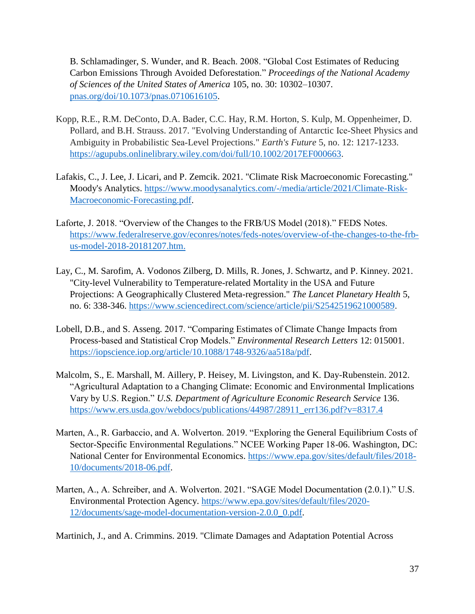B. Schlamadinger, S. Wunder, and R. Beach. 2008. "Global Cost Estimates of Reducing Carbon Emissions Through Avoided Deforestation." *Proceedings of the National Academy of Sciences of the United States of America* 105, no. 30: 10302–10307. [pnas.org/doi/10.1073/pnas.0710616105.](file:///C:/Users/BRClark/AppData/Local/Microsoft/Windows/INetCache/Content.Outlook/AAOXHVGW/pnas.org/doi/10.1073/pnas.0710616105)

- Kopp, R.E., R.M. DeConto, D.A. Bader, C.C. Hay, R.M. Horton, S. Kulp, M. Oppenheimer, D. Pollard, and B.H. Strauss. 2017. "Evolving Understanding of Antarctic Ice‐Sheet Physics and Ambiguity in Probabilistic Sea‐Level Projections." *Earth's Future* 5, no. 12: 1217-1233. [https://agupubs.onlinelibrary.wiley.com/doi/full/10.1002/2017EF000663.](https://agupubs.onlinelibrary.wiley.com/doi/full/10.1002/2017EF000663)
- Lafakis, C., J. Lee, J. Licari, and P. Zemcik. 2021. "Climate Risk Macroeconomic Forecasting." Moody's Analytics. [https://www.moodysanalytics.com/-/media/article/2021/Climate-Risk-](https://www.moodysanalytics.com/-/media/article/2021/Climate-Risk-Macroeconomic-Forecasting.pdf)[Macroeconomic-Forecasting.pdf.](https://www.moodysanalytics.com/-/media/article/2021/Climate-Risk-Macroeconomic-Forecasting.pdf)
- Laforte, J. 2018. "Overview of the Changes to the FRB/US Model (2018)." FEDS Notes. [https://www.federalreserve.gov/econres/notes/feds-notes/overview-of-the-changes-to-the-frb](https://www.federalreserve.gov/econres/notes/feds-notes/overview-of-the-changes-to-the-frb-us-model-2018-20181207.htm)[us-model-2018-20181207.htm.](https://www.federalreserve.gov/econres/notes/feds-notes/overview-of-the-changes-to-the-frb-us-model-2018-20181207.htm)
- Lay, C., M. Sarofim, A. Vodonos Zilberg, D. Mills, R. Jones, J. Schwartz, and P. Kinney. 2021. "City-level Vulnerability to Temperature-related Mortality in the USA and Future Projections: A Geographically Clustered Meta-regression." *The Lancet Planetary Health* 5, no. 6: 338-346. [https://www.sciencedirect.com/science/article/pii/S2542519621000589.](https://www.sciencedirect.com/science/article/pii/S2542519621000589)
- Lobell, D.B., and S. Asseng. 2017. "Comparing Estimates of Climate Change Impacts from Process-based and Statistical Crop Models." *Environmental Research Letters* 12: 015001. [https://iopscience.iop.org/article/10.1088/1748-9326/aa518a/pdf.](https://iopscience.iop.org/article/10.1088/1748-9326/aa518a/pdf)
- Malcolm, S., E. Marshall, M. Aillery, P. Heisey, M. Livingston, and K. Day-Rubenstein. 2012. "Agricultural Adaptation to a Changing Climate: Economic and Environmental Implications Vary by U.S. Region." *U.S. Department of Agriculture Economic Research Service* 136. [https://www.ers.usda.gov/webdocs/publications/44987/28911\\_err136.pdf?v=8317.4](https://www.ers.usda.gov/webdocs/publications/44987/28911_err136.pdf?v=8317.4)
- Marten, A., R. Garbaccio, and A. Wolverton. 2019. "Exploring the General Equilibrium Costs of Sector-Specific Environmental Regulations." NCEE Working Paper 18-06. Washington, DC: National Center for Environmental Economics. [https://www.epa.gov/sites/default/files/2018-](https://www.epa.gov/sites/default/files/2018-10/documents/2018-06.pdf) [10/documents/2018-06.pdf.](https://www.epa.gov/sites/default/files/2018-10/documents/2018-06.pdf)
- Marten, A., A. Schreiber, and A. Wolverton. 2021. "SAGE Model Documentation (2.0.1)." U.S. Environmental Protection Agency. [https://www.epa.gov/sites/default/files/2020-](https://www.epa.gov/sites/default/files/2020-12/documents/sage-model-documentation-version-2.0.0_0.pdf) [12/documents/sage-model-documentation-version-2.0.0\\_0.pdf.](https://www.epa.gov/sites/default/files/2020-12/documents/sage-model-documentation-version-2.0.0_0.pdf)

Martinich, J., and A. Crimmins. 2019. "Climate Damages and Adaptation Potential Across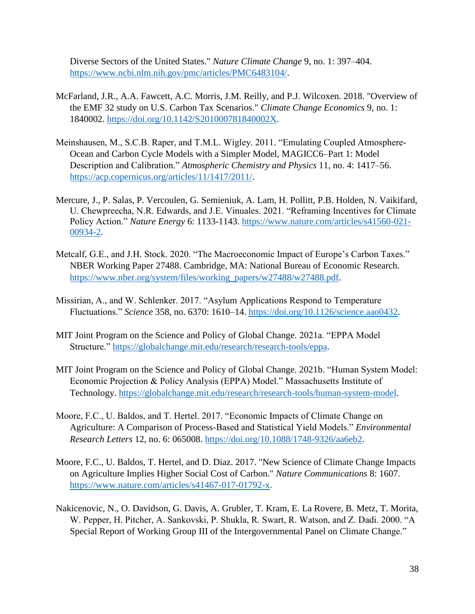Diverse Sectors of the United States." *Nature Climate Change* 9, no. 1: 397–404. [https://www.ncbi.nlm.nih.gov/pmc/articles/PMC6483104/.](https://www.ncbi.nlm.nih.gov/pmc/articles/PMC6483104/)

- McFarland, J.R., A.A. Fawcett, A.C. Morris, J.M. Reilly, and P.J. Wilcoxen. 2018. "Overview of the EMF 32 study on U.S. Carbon Tax Scenarios." *Climate Change Economics* 9, no. 1: 1840002. [https://doi.org/10.1142/S201000781840002X.](https://doi.org/10.1142/S201000781840002X)
- Meinshausen, M., S.C.B. Raper, and T.M.L. Wigley. 2011. "Emulating Coupled Atmosphere-Ocean and Carbon Cycle Models with a Simpler Model, MAGICC6–Part 1: Model Description and Calibration." *Atmospheric Chemistry and Physics* 11, no. 4: 1417–56. [https://acp.copernicus.org/articles/11/1417/2011/.](https://acp.copernicus.org/articles/11/1417/2011/)
- Mercure, J., P. Salas, P. Vercoulen, G. Semieniuk, A. Lam, H. Pollitt, P.B. Holden, N. Vaikifard, U. Chewpreecha, N.R. Edwards, and J.E. Vinuales. 2021. "Reframing Incentives for Climate Policy Action." *Nature Energy* 6: 1133-1143. [https://www.nature.com/articles/s41560-021-](https://www.nature.com/articles/s41560-021-00934-2) [00934-2.](https://www.nature.com/articles/s41560-021-00934-2)
- Metcalf, G.E., and J.H. Stock. 2020. "The Macroeconomic Impact of Europe's Carbon Taxes." NBER Working Paper 27488. Cambridge, MA: National Bureau of Economic Research. [https://www.nber.org/system/files/working\\_papers/w27488/w27488.pdf.](https://www.nber.org/system/files/working_papers/w27488/w27488.pdf)
- Missirian, A., and W. Schlenker. 2017. "Asylum Applications Respond to Temperature Fluctuations." *Science* 358, no. 6370: 1610–14. [https://doi.org/10.1126/science.aao0432.](https://doi.org/10.1126/science.aao0432)
- MIT Joint Program on the Science and Policy of Global Change. 2021a. "EPPA Model Structure." [https://globalchange.mit.edu/research/research-tools/eppa.](https://globalchange.mit.edu/research/research-tools/eppa)
- MIT Joint Program on the Science and Policy of Global Change. 2021b. "Human System Model: Economic Projection & Policy Analysis (EPPA) Model." Massachusetts Institute of Technology. [https://globalchange.mit.edu/research/research-tools/human-system-model.](https://globalchange.mit.edu/research/research-tools/human-system-model)
- Moore, F.C., U. Baldos, and T. Hertel. 2017. "Economic Impacts of Climate Change on Agriculture: A Comparison of Process-Based and Statistical Yield Models." *Environmental Research Letters* 12, no. 6: 065008. [https://doi.org/10.1088/1748-9326/aa6eb2.](https://doi.org/10.1088/1748-9326/aa6eb2)
- Moore, F.C., U. Baldos, T. Hertel, and D. Diaz. 2017. "New Science of Climate Change Impacts on Agriculture Implies Higher Social Cost of Carbon." *Nature Communications* 8: 1607. [https://www.nature.com/articles/s41467-017-01792-x.](https://www.nature.com/articles/s41467-017-01792-x)
- Nakicenovic, N., O. Davidson, G. Davis, A. Grubler, T. Kram, E. La Rovere, B. Metz, T. Morita, W. Pepper, H. Pitcher, A. Sankovski, P. Shukla, R. Swart, R. Watson, and Z. Dadi. 2000. "A Special Report of Working Group III of the Intergovernmental Panel on Climate Change."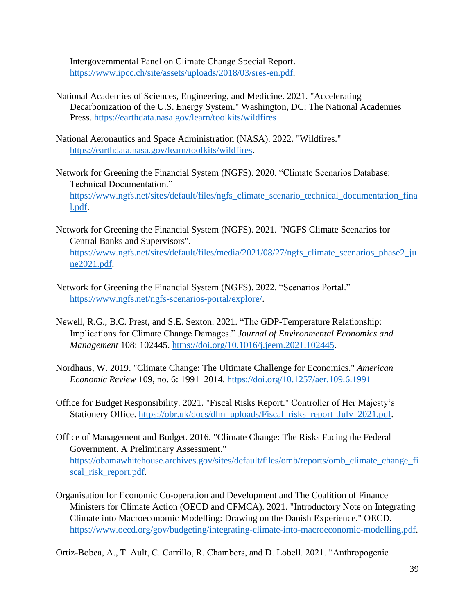Intergovernmental Panel on Climate Change Special Report. [https://www.ipcc.ch/site/assets/uploads/2018/03/sres-en.pdf.](https://www.ipcc.ch/site/assets/uploads/2018/03/sres-en.pdf)

- National Academies of Sciences, Engineering, and Medicine. 2021. "Accelerating Decarbonization of the U.S. Energy System." Washington, DC: The National Academies Press.<https://earthdata.nasa.gov/learn/toolkits/wildfires>
- National Aeronautics and Space Administration (NASA). 2022. "Wildfires." [https://earthdata.nasa.gov/learn/toolkits/wildfires.](https://earthdata.nasa.gov/learn/toolkits/wildfires)
- Network for Greening the Financial System (NGFS). 2020. "Climate Scenarios Database: Technical Documentation." [https://www.ngfs.net/sites/default/files/ngfs\\_climate\\_scenario\\_technical\\_documentation\\_fina](https://www.ngfs.net/sites/default/files/ngfs_climate_scenario_technical_documentation_final.pdf) [l.pdf.](https://www.ngfs.net/sites/default/files/ngfs_climate_scenario_technical_documentation_final.pdf)
- Network for Greening the Financial System (NGFS). 2021. "NGFS Climate Scenarios for Central Banks and Supervisors". [https://www.ngfs.net/sites/default/files/media/2021/08/27/ngfs\\_climate\\_scenarios\\_phase2\\_ju](https://www.ngfs.net/sites/default/files/media/2021/08/27/ngfs_climate_scenarios_phase2_june2021.pdf) [ne2021.pdf.](https://www.ngfs.net/sites/default/files/media/2021/08/27/ngfs_climate_scenarios_phase2_june2021.pdf)
- Network for Greening the Financial System (NGFS). 2022. "Scenarios Portal." [https://www.ngfs.net/ngfs-scenarios-portal/explore/.](https://www.ngfs.net/ngfs-scenarios-portal/explore/)
- Newell, R.G., B.C. Prest, and S.E. Sexton. 2021. "The GDP-Temperature Relationship: Implications for Climate Change Damages." *Journal of Environmental Economics and Management* 108: 102445. [https://doi.org/10.1016/j.jeem.2021.102445.](https://doi.org/10.1016/j.jeem.2021.102445)
- Nordhaus, W. 2019. "Climate Change: The Ultimate Challenge for Economics." *American Economic Review* 109, no. 6: 1991–2014. <https://doi.org/10.1257/aer.109.6.1991>
- Office for Budget Responsibility. 2021. "Fiscal Risks Report." Controller of Her Majesty's Stationery Office. [https://obr.uk/docs/dlm\\_uploads/Fiscal\\_risks\\_report\\_July\\_2021.pdf.](https://obr.uk/docs/dlm_uploads/Fiscal_risks_report_July_2021.pdf)
- Office of Management and Budget. 2016. "Climate Change: The Risks Facing the Federal Government. A Preliminary Assessment." [https://obamawhitehouse.archives.gov/sites/default/files/omb/reports/omb\\_climate\\_change\\_fi](https://obamawhitehouse.archives.gov/sites/default/files/omb/reports/omb_climate_change_fiscal_risk_report.pdf) [scal\\_risk\\_report.pdf.](https://obamawhitehouse.archives.gov/sites/default/files/omb/reports/omb_climate_change_fiscal_risk_report.pdf)
- Organisation for Economic Co-operation and Development and The Coalition of Finance Ministers for Climate Action (OECD and CFMCA). 2021. "Introductory Note on Integrating Climate into Macroeconomic Modelling: Drawing on the Danish Experience." OECD. [https://www.oecd.org/gov/budgeting/integrating-climate-into-macroeconomic-modelling.pdf.](https://www.oecd.org/gov/budgeting/integrating-climate-into-macroeconomic-modelling.pdf)

Ortiz-Bobea, A., T. Ault, C. Carrillo, R. Chambers, and D. Lobell. 2021. "Anthropogenic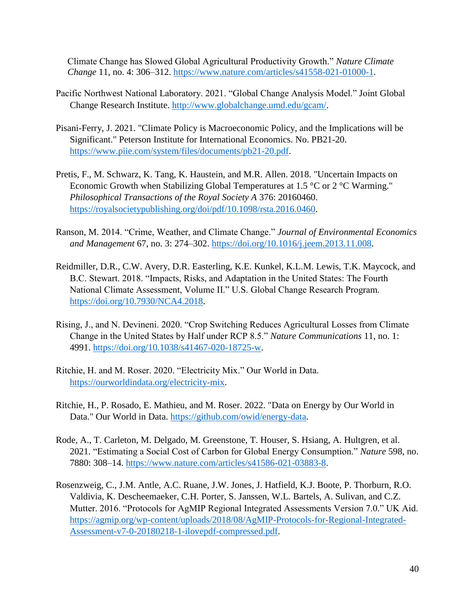Climate Change has Slowed Global Agricultural Productivity Growth." *Nature Climate Change* 11, no. 4: 306–312. [https://www.nature.com/articles/s41558-021-01000-1.](https://www.nature.com/articles/s41558-021-01000-1)

- Pacific Northwest National Laboratory. 2021. "Global Change Analysis Model." Joint Global Change Research Institute. [http://www.globalchange.umd.edu/gcam/.](http://www.globalchange.umd.edu/gcam/)
- Pisani-Ferry, J. 2021. "Climate Policy is Macroeconomic Policy, and the Implications will be Significant." Peterson Institute for International Economics. No. PB21-20. [https://www.piie.com/system/files/documents/pb21-20.pdf.](https://www.piie.com/system/files/documents/pb21-20.pdf)
- Pretis, F., M. Schwarz, K. Tang, K. Haustein, and M.R. Allen. 2018. "Uncertain Impacts on Economic Growth when Stabilizing Global Temperatures at 1.5 °C or 2 °C Warming." *Philosophical Transactions of the Royal Society A* 376: 20160460. [https://royalsocietypublishing.org/doi/pdf/10.1098/rsta.2016.0460.](https://royalsocietypublishing.org/doi/pdf/10.1098/rsta.2016.0460)
- Ranson, M. 2014. "Crime, Weather, and Climate Change." *Journal of Environmental Economics and Management* 67, no. 3: 274–302. [https://doi.org/10.1016/j.jeem.2013.11.008.](https://doi.org/10.1016/j.jeem.2013.11.008)
- Reidmiller, D.R., C.W. Avery, D.R. Easterling, K.E. Kunkel, K.L.M. Lewis, T.K. Maycock, and B.C. Stewart. 2018. "Impacts, Risks, and Adaptation in the United States: The Fourth National Climate Assessment, Volume II." U.S. Global Change Research Program. [https://doi.org/10.7930/NCA4.2018.](https://doi.org/10.7930/NCA4.2018)
- Rising, J., and N. Devineni. 2020. "Crop Switching Reduces Agricultural Losses from Climate Change in the United States by Half under RCP 8.5." *Nature Communications* 11, no. 1: 4991. [https://doi.org/10.1038/s41467-020-18725-w.](https://doi.org/10.1038/s41467-020-18725-w)
- Ritchie, H. and M. Roser. 2020. "Electricity Mix." Our World in Data. [https://ourworldindata.org/electricity-mix.](https://ourworldindata.org/electricity-mix)
- Ritchie, H., P. Rosado, E. Mathieu, and M. Roser. 2022. "Data on Energy by Our World in Data." Our World in Data. [https://github.com/owid/energy-data.](https://github.com/owid/energy-data)
- Rode, A., T. Carleton, M. Delgado, M. Greenstone, T. Houser, S. Hsiang, A. Hultgren, et al. 2021. "Estimating a Social Cost of Carbon for Global Energy Consumption." *Nature* 598, no. 7880: 308–14. [https://www.nature.com/articles/s41586-021-03883-8.](https://www.nature.com/articles/s41586-021-03883-8)
- Rosenzweig, C., J.M. Antle, A.C. Ruane, J.W. Jones, J. Hatfield, K.J. Boote, P. Thorburn, R.O. Valdivia, K. Descheemaeker, C.H. Porter, S. Janssen, W.L. Bartels, A. Sulivan, and C.Z. Mutter. 2016. "Protocols for AgMIP Regional Integrated Assessments Version 7.0." UK Aid. [https://agmip.org/wp-content/uploads/2018/08/AgMIP-Protocols-for-Regional-Integrated-](https://agmip.org/wp-content/uploads/2018/08/AgMIP-Protocols-for-Regional-Integrated-Assessment-v7-0-20180218-1-ilovepdf-compressed.pdf)[Assessment-v7-0-20180218-1-ilovepdf-compressed.pdf.](https://agmip.org/wp-content/uploads/2018/08/AgMIP-Protocols-for-Regional-Integrated-Assessment-v7-0-20180218-1-ilovepdf-compressed.pdf)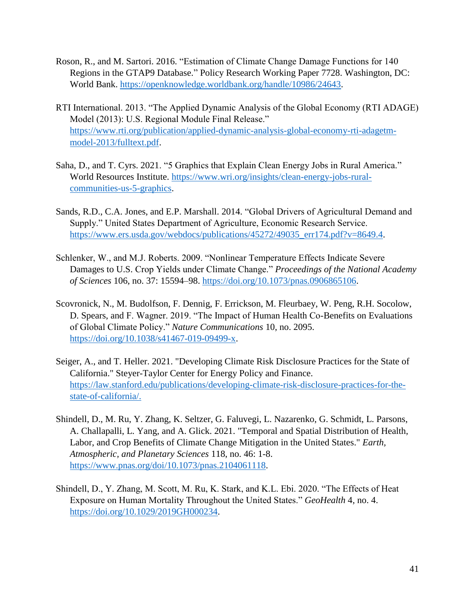- Roson, R., and M. Sartori. 2016. "Estimation of Climate Change Damage Functions for 140 Regions in the GTAP9 Database." Policy Research Working Paper 7728. Washington, DC: World Bank. [https://openknowledge.worldbank.org/handle/10986/24643.](https://openknowledge.worldbank.org/handle/10986/24643)
- RTI International. 2013. "The Applied Dynamic Analysis of the Global Economy (RTI ADAGE) Model (2013): U.S. Regional Module Final Release." [https://www.rti.org/publication/applied-dynamic-analysis-global-economy-rti-adagetm](https://www.rti.org/publication/applied-dynamic-analysis-global-economy-rti-adagetm-model-2013/fulltext.pdf)[model-2013/fulltext.pdf.](https://www.rti.org/publication/applied-dynamic-analysis-global-economy-rti-adagetm-model-2013/fulltext.pdf)
- Saha, D., and T. Cyrs. 2021. "5 Graphics that Explain Clean Energy Jobs in Rural America." World Resources Institute. [https://www.wri.org/insights/clean-energy-jobs-rural](https://www.wri.org/insights/clean-energy-jobs-rural-communities-us-5-graphics)[communities-us-5-graphics.](https://www.wri.org/insights/clean-energy-jobs-rural-communities-us-5-graphics)
- Sands, R.D., C.A. Jones, and E.P. Marshall. 2014. "Global Drivers of Agricultural Demand and Supply." United States Department of Agriculture, Economic Research Service. [https://www.ers.usda.gov/webdocs/publications/45272/49035\\_err174.pdf?v=8649.4.](https://www.ers.usda.gov/webdocs/publications/45272/49035_err174.pdf?v=8649.4)
- Schlenker, W., and M.J. Roberts. 2009. "Nonlinear Temperature Effects Indicate Severe Damages to U.S. Crop Yields under Climate Change." *Proceedings of the National Academy of Sciences* 106, no. 37: 15594–98. [https://doi.org/10.1073/pnas.0906865106.](https://doi.org/10.1073/pnas.0906865106)
- Scovronick, N., M. Budolfson, F. Dennig, F. Errickson, M. Fleurbaey, W. Peng, R.H. Socolow, D. Spears, and F. Wagner. 2019. "The Impact of Human Health Co-Benefits on Evaluations of Global Climate Policy." *Nature Communications* 10, no. 2095. [https://doi.org/10.1038/s41467-019-09499-x.](https://doi.org/10.1038/s41467-019-09499-x)
- Seiger, A., and T. Heller. 2021. "Developing Climate Risk Disclosure Practices for the State of California." Steyer-Taylor Center for Energy Policy and Finance. [https://law.stanford.edu/publications/developing-climate-risk-disclosure-practices-for-the](https://law.stanford.edu/publications/developing-climate-risk-disclosure-practices-for-the-state-of-california/)[state-of-california/.](https://law.stanford.edu/publications/developing-climate-risk-disclosure-practices-for-the-state-of-california/)
- Shindell, D., M. Ru, Y. Zhang, K. Seltzer, G. Faluvegi, L. Nazarenko, G. Schmidt, L. Parsons, A. Challapalli, L. Yang, and A. Glick. 2021. "Temporal and Spatial Distribution of Health, Labor, and Crop Benefits of Climate Change Mitigation in the United States." *Earth, Atmospheric, and Planetary Sciences* 118, no. 46: 1-8. [https://www.pnas.org/doi/10.1073/pnas.2104061118.](https://www.pnas.org/doi/10.1073/pnas.2104061118)
- Shindell, D., Y. Zhang, M. Scott, M. Ru, K. Stark, and K.L. Ebi. 2020. "The Effects of Heat Exposure on Human Mortality Throughout the United States." *GeoHealth* 4, no. 4. [https://doi.org/10.1029/2019GH000234.](https://doi.org/10.1029/2019GH000234)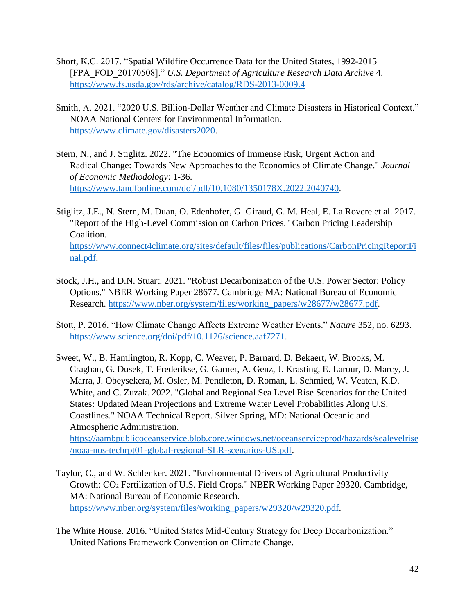- Short, K.C. 2017. "Spatial Wildfire Occurrence Data for the United States, 1992-2015 [FPA\_FOD\_20170508]." *U.S. Department of Agriculture Research Data Archive* 4. <https://www.fs.usda.gov/rds/archive/catalog/RDS-2013-0009.4>
- Smith, A. 2021. "2020 U.S. Billion-Dollar Weather and Climate Disasters in Historical Context." NOAA National Centers for Environmental Information. [https://www.climate.gov/disasters2020.](https://www.climate.gov/disasters2020)
- Stern, N., and J. Stiglitz. 2022. "The Economics of Immense Risk, Urgent Action and Radical Change: Towards New Approaches to the Economics of Climate Change." *Journal of Economic Methodology*: 1-36. [https://www.tandfonline.com/doi/pdf/10.1080/1350178X.2022.2040740.](https://www.tandfonline.com/doi/pdf/10.1080/1350178X.2022.2040740)

Stiglitz, J.E., N. Stern, M. Duan, O. Edenhofer, G. Giraud, G. M. Heal, E. La Rovere et al. 2017. "Report of the High-Level Commission on Carbon Prices." Carbon Pricing Leadership Coalition. [https://www.connect4climate.org/sites/default/files/files/publications/CarbonPricingReportFi](https://www.connect4climate.org/sites/default/files/files/publications/CarbonPricingReportFinal.pdf) [nal.pdf.](https://www.connect4climate.org/sites/default/files/files/publications/CarbonPricingReportFinal.pdf)

- Stock, J.H., and D.N. Stuart. 2021. "Robust Decarbonization of the U.S. Power Sector: Policy Options." NBER Working Paper 28677. Cambridge MA: National Bureau of Economic Research. [https://www.nber.org/system/files/working\\_papers/w28677/w28677.pdf.](https://www.nber.org/system/files/working_papers/w28677/w28677.pdf)
- Stott, P. 2016. "How Climate Change Affects Extreme Weather Events." *Nature* 352, no. 6293. [https://www.science.org/doi/pdf/10.1126/science.aaf7271.](https://www.science.org/doi/pdf/10.1126/science.aaf7271)
- Sweet, W., B. Hamlington, R. Kopp, C. Weaver, P. Barnard, D. Bekaert, W. Brooks, M. Craghan, G. Dusek, T. Frederikse, G. Garner, A. Genz, J. Krasting, E. Larour, D. Marcy, J. Marra, J. Obeysekera, M. Osler, M. Pendleton, D. Roman, L. Schmied, W. Veatch, K.D. White, and C. Zuzak. 2022. "Global and Regional Sea Level Rise Scenarios for the United States: Updated Mean Projections and Extreme Water Level Probabilities Along U.S. Coastlines." NOAA Technical Report. Silver Spring, MD: National Oceanic and Atmospheric Administration.

[https://aambpublicoceanservice.blob.core.windows.net/oceanserviceprod/hazards/sealevelrise](https://aambpublicoceanservice.blob.core.windows.net/oceanserviceprod/hazards/sealevelrise/noaa-nos-techrpt01-global-regional-SLR-scenarios-US.pdf) [/noaa-nos-techrpt01-global-regional-SLR-scenarios-US.pdf.](https://aambpublicoceanservice.blob.core.windows.net/oceanserviceprod/hazards/sealevelrise/noaa-nos-techrpt01-global-regional-SLR-scenarios-US.pdf)

- Taylor, C., and W. Schlenker. 2021. "Environmental Drivers of Agricultural Productivity Growth: CO₂ Fertilization of U.S. Field Crops*.*" NBER Working Paper 29320. Cambridge, MA: National Bureau of Economic Research. [https://www.nber.org/system/files/working\\_papers/w29320/w29320.pdf.](https://www.nber.org/system/files/working_papers/w29320/w29320.pdf)
- The White House. 2016. "United States Mid-Century Strategy for Deep Decarbonization." United Nations Framework Convention on Climate Change.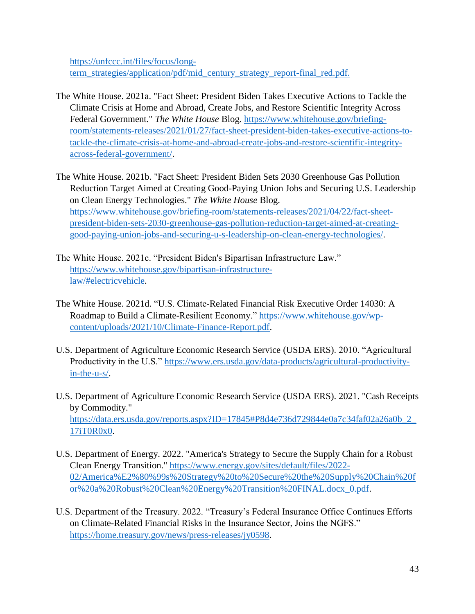[https://unfccc.int/files/focus/long](https://unfccc.int/files/focus/long-term_strategies/application/pdf/mid_century_strategy_report-final_red.pdf)[term\\_strategies/application/pdf/mid\\_century\\_strategy\\_report-final\\_red.pdf.](https://unfccc.int/files/focus/long-term_strategies/application/pdf/mid_century_strategy_report-final_red.pdf)

- The White House. 2021a. "Fact Sheet: President Biden Takes Executive Actions to Tackle the Climate Crisis at Home and Abroad, Create Jobs, and Restore Scientific Integrity Across Federal Government." *The White House* Blog. [https://www.whitehouse.gov/briefing](https://www.whitehouse.gov/briefing-room/statements-releases/2021/01/27/fact-sheet-president-biden-takes-executive-actions-to-tackle-the-climate-crisis-at-home-and-abroad-create-jobs-and-restore-scientific-integrity-across-federal-government/)[room/statements-releases/2021/01/27/fact-sheet-president-biden-takes-executive-actions-to](https://www.whitehouse.gov/briefing-room/statements-releases/2021/01/27/fact-sheet-president-biden-takes-executive-actions-to-tackle-the-climate-crisis-at-home-and-abroad-create-jobs-and-restore-scientific-integrity-across-federal-government/)[tackle-the-climate-crisis-at-home-and-abroad-create-jobs-and-restore-scientific-integrity](https://www.whitehouse.gov/briefing-room/statements-releases/2021/01/27/fact-sheet-president-biden-takes-executive-actions-to-tackle-the-climate-crisis-at-home-and-abroad-create-jobs-and-restore-scientific-integrity-across-federal-government/)[across-federal-government/.](https://www.whitehouse.gov/briefing-room/statements-releases/2021/01/27/fact-sheet-president-biden-takes-executive-actions-to-tackle-the-climate-crisis-at-home-and-abroad-create-jobs-and-restore-scientific-integrity-across-federal-government/)
- The White House. 2021b. "Fact Sheet: President Biden Sets 2030 Greenhouse Gas Pollution Reduction Target Aimed at Creating Good-Paying Union Jobs and Securing U.S. Leadership on Clean Energy Technologies." *The White House* Blog. [https://www.whitehouse.gov/briefing-room/statements-releases/2021/04/22/fact-sheet](https://www.whitehouse.gov/briefing-room/statements-releases/2021/04/22/fact-sheet-president-biden-sets-2030-greenhouse-gas-pollution-reduction-target-aimed-at-creating-good-paying-union-jobs-and-securing-u-s-leadership-on-clean-energy-technologies/)[president-biden-sets-2030-greenhouse-gas-pollution-reduction-target-aimed-at-creating](https://www.whitehouse.gov/briefing-room/statements-releases/2021/04/22/fact-sheet-president-biden-sets-2030-greenhouse-gas-pollution-reduction-target-aimed-at-creating-good-paying-union-jobs-and-securing-u-s-leadership-on-clean-energy-technologies/)[good-paying-union-jobs-and-securing-u-s-leadership-on-clean-energy-technologies/.](https://www.whitehouse.gov/briefing-room/statements-releases/2021/04/22/fact-sheet-president-biden-sets-2030-greenhouse-gas-pollution-reduction-target-aimed-at-creating-good-paying-union-jobs-and-securing-u-s-leadership-on-clean-energy-technologies/)
- The White House. 2021c. "President Biden's Bipartisan Infrastructure Law." https://www.whitehouse.gov/bipartisan-infrastructurelaw/#electricvehicle.
- The White House. 2021d. "U.S. Climate-Related Financial Risk Executive Order 14030: A Roadmap to Build a Climate-Resilient Economy." [https://www.whitehouse.gov/wp](https://www.whitehouse.gov/wp-content/uploads/2021/10/Climate-Finance-Report.pdf)[content/uploads/2021/10/Climate-Finance-Report.pdf.](https://www.whitehouse.gov/wp-content/uploads/2021/10/Climate-Finance-Report.pdf)
- U.S. Department of Agriculture Economic Research Service (USDA ERS). 2010. "Agricultural Productivity in the U.S." [https://www.ers.usda.gov/data-products/agricultural-productivity](https://www.ers.usda.gov/data-products/agricultural-productivity-in-the-u-s/)[in-the-u-s/.](https://www.ers.usda.gov/data-products/agricultural-productivity-in-the-u-s/)
- U.S. Department of Agriculture Economic Research Service (USDA ERS). 2021. "Cash Receipts by Commodity." https://data.ers.usda.gov/reports.aspx?ID=17845#P8d4e736d729844e0a7c34faf02a26a0b\_2 [17iT0R0x0.](https://data.ers.usda.gov/reports.aspx?ID=17845#P8d4e736d729844e0a7c34faf02a26a0b_2_17iT0R0x0)
- U.S. Department of Energy. 2022. "America's Strategy to Secure the Supply Chain for a Robust Clean Energy Transition." [https://www.energy.gov/sites/default/files/2022-](https://www.energy.gov/sites/default/files/2022-02/America%E2%80%99s%20Strategy%20to%20Secure%20the%20Supply%20Chain%20for%20a%20Robust%20Clean%20Energy%20Transition%20FINAL.docx_0.pdf) [02/America%E2%80%99s%20Strategy%20to%20Secure%20the%20Supply%20Chain%20f](https://www.energy.gov/sites/default/files/2022-02/America%E2%80%99s%20Strategy%20to%20Secure%20the%20Supply%20Chain%20for%20a%20Robust%20Clean%20Energy%20Transition%20FINAL.docx_0.pdf) [or%20a%20Robust%20Clean%20Energy%20Transition%20FINAL.docx\\_0.pdf.](https://www.energy.gov/sites/default/files/2022-02/America%E2%80%99s%20Strategy%20to%20Secure%20the%20Supply%20Chain%20for%20a%20Robust%20Clean%20Energy%20Transition%20FINAL.docx_0.pdf)
- U.S. Department of the Treasury. 2022. "Treasury's Federal Insurance Office Continues Efforts on Climate-Related Financial Risks in the Insurance Sector, Joins the NGFS." [https://home.treasury.gov/news/press-releases/jy0598.](https://home.treasury.gov/news/press-releases/jy0598)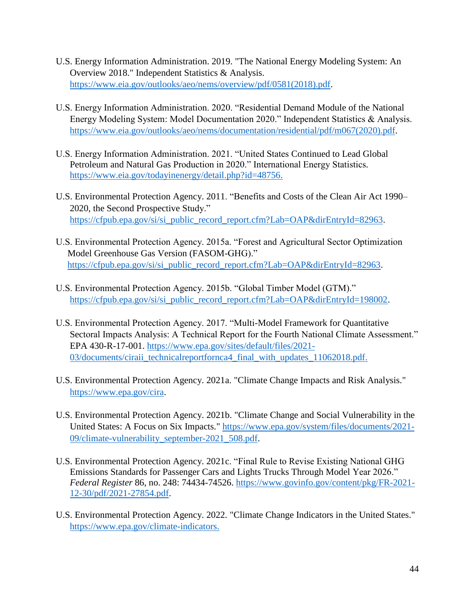- U.S. Energy Information Administration. 2019. "The National Energy Modeling System: An Overview 2018." Independent Statistics & Analysis. [https://www.eia.gov/outlooks/aeo/nems/overview/pdf/0581\(2018\).pdf.](https://www.eia.gov/outlooks/aeo/nems/overview/pdf/0581(2018).pdf)
- U.S. Energy Information Administration. 2020. "Residential Demand Module of the National Energy Modeling System: Model Documentation 2020." Independent Statistics & Analysis. [https://www.eia.gov/outlooks/aeo/nems/documentation/residential/pdf/m067\(2020\).pdf.](https://www.eia.gov/outlooks/aeo/nems/documentation/residential/pdf/m067(2020).pdf)
- U.S. Energy Information Administration. 2021. "United States Continued to Lead Global Petroleum and Natural Gas Production in 2020." International Energy Statistics*.*  [https://www.eia.gov/todayinenergy/detail.php?id=48756.](https://www.eia.gov/todayinenergy/detail.php?id=48756)
- U.S. Environmental Protection Agency. 2011. "Benefits and Costs of the Clean Air Act 1990– 2020, the Second Prospective Study." [https://cfpub.epa.gov/si/si\\_public\\_record\\_report.cfm?Lab=OAP&dirEntryId=82963.](https://cfpub.epa.gov/si/si_public_record_report.cfm?Lab=OAP&dirEntryId=82963)
- U.S. Environmental Protection Agency. 2015a. "Forest and Agricultural Sector Optimization Model Greenhouse Gas Version (FASOM-GHG)." [https://cfpub.epa.gov/si/si\\_public\\_record\\_report.cfm?Lab=OAP&dirEntryId=82963.](https://cfpub.epa.gov/si/si_public_record_report.cfm?Lab=OAP&dirEntryId=82963)
- U.S. Environmental Protection Agency. 2015b. "Global Timber Model (GTM)." [https://cfpub.epa.gov/si/si\\_public\\_record\\_report.cfm?Lab=OAP&dirEntryId=198002.](https://cfpub.epa.gov/si/si_public_record_report.cfm?Lab=OAP&dirEntryId=198002)
- U.S. Environmental Protection Agency. 2017. "Multi-Model Framework for Quantitative Sectoral Impacts Analysis: A Technical Report for the Fourth National Climate Assessment." EPA 430-R-17-001. [https://www.epa.gov/sites/default/files/2021-](https://www.epa.gov/sites/default/files/2021-03/documents/ciraii_technicalreportfornca4_final_with_updates_11062018.pdf) [03/documents/ciraii\\_technicalreportfornca4\\_final\\_with\\_updates\\_11062018.pdf.](https://www.epa.gov/sites/default/files/2021-03/documents/ciraii_technicalreportfornca4_final_with_updates_11062018.pdf)
- U.S. Environmental Protection Agency. 2021a. "Climate Change Impacts and Risk Analysis." [https://www.epa.gov/cira.](https://www.epa.gov/cira)
- U.S. Environmental Protection Agency. 2021b. "Climate Change and Social Vulnerability in the United States: A Focus on Six Impacts." [https://www.epa.gov/system/files/documents/2021-](https://www.epa.gov/system/files/documents/2021-09/climate-vulnerability_september-2021_508.pdf) [09/climate-vulnerability\\_september-2021\\_508.pdf.](https://www.epa.gov/system/files/documents/2021-09/climate-vulnerability_september-2021_508.pdf)
- U.S. Environmental Protection Agency. 2021c. "Final Rule to Revise Existing National GHG Emissions Standards for Passenger Cars and Lights Trucks Through Model Year 2026." *Federal Register* 86, no. 248: 74434-74526. [https://www.govinfo.gov/content/pkg/FR-2021-](https://www.govinfo.gov/content/pkg/FR-2021-12-30/pdf/2021-27854.pdf) [12-30/pdf/2021-27854.pdf.](https://www.govinfo.gov/content/pkg/FR-2021-12-30/pdf/2021-27854.pdf)
- U.S. Environmental Protection Agency. 2022. "Climate Change Indicators in the United States." <https://www.epa.gov/climate-indicators.>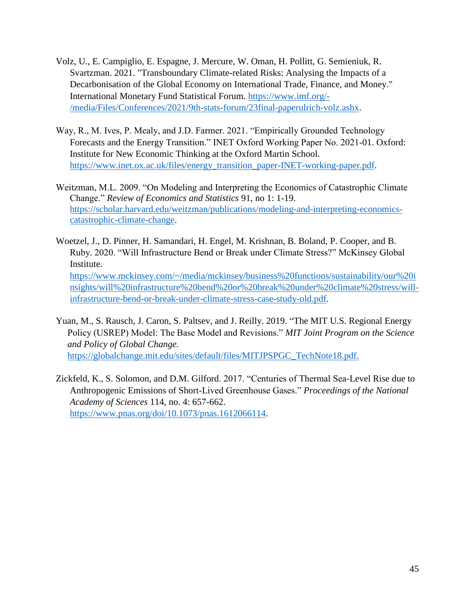- Volz, U., E. Campiglio, E. Espagne, J. Mercure, W. Oman, H. Pollitt, G. Semieniuk, R. Svartzman. 2021. "Transboundary Climate-related Risks: Analysing the Impacts of a Decarbonisation of the Global Economy on International Trade, Finance, and Money." International Monetary Fund Statistical Forum. [https://www.imf.org/-](https://www.imf.org/-/media/Files/Conferences/2021/9th-stats-forum/23final-paperulrich-volz.ashx) [/media/Files/Conferences/2021/9th-stats-forum/23final-paperulrich-volz.ashx.](https://www.imf.org/-/media/Files/Conferences/2021/9th-stats-forum/23final-paperulrich-volz.ashx)
- Way, R., M. Ives, P. Mealy, and J.D. Farmer. 2021. "Empirically Grounded Technology Forecasts and the Energy Transition." INET Oxford Working Paper No. 2021-01. Oxford: Institute for New Economic Thinking at the Oxford Martin School. [https://www.inet.ox.ac.uk/files/energy\\_transition\\_paper-INET-working-paper.pdf.](https://www.inet.ox.ac.uk/files/energy_transition_paper-INET-working-paper.pdf)
- Weitzman, M.L. 2009. "On Modeling and Interpreting the Economics of Catastrophic Climate Change." *Review of Economics and Statistics* 91, no 1: 1-19. [https://scholar.harvard.edu/weitzman/publications/modeling-and-interpreting-economics](https://scholar.harvard.edu/weitzman/publications/modeling-and-interpreting-economics-catastrophic-climate-change)[catastrophic-climate-change.](https://scholar.harvard.edu/weitzman/publications/modeling-and-interpreting-economics-catastrophic-climate-change)
- Woetzel, J., D. Pinner, H. Samandari, H. Engel, M. Krishnan, B. Boland, P. Cooper, and B. Ruby. 2020. "Will Infrastructure Bend or Break under Climate Stress?" McKinsey Global Institute. [https://www.mckinsey.com/~/media/mckinsey/business%20functions/sustainability/our%20i](https://www.mckinsey.com/~/media/mckinsey/business%20functions/sustainability/our%20insights/will%20infrastructure%20bend%20or%20break%20under%20climate%20stress/will-infrastructure-bend-or-break-under-climate-stress-case-study-old.pdf) [nsights/will%20infrastructure%20bend%20or%20break%20under%20climate%20stress/will](https://www.mckinsey.com/~/media/mckinsey/business%20functions/sustainability/our%20insights/will%20infrastructure%20bend%20or%20break%20under%20climate%20stress/will-infrastructure-bend-or-break-under-climate-stress-case-study-old.pdf)[infrastructure-bend-or-break-under-climate-stress-case-study-old.pdf.](https://www.mckinsey.com/~/media/mckinsey/business%20functions/sustainability/our%20insights/will%20infrastructure%20bend%20or%20break%20under%20climate%20stress/will-infrastructure-bend-or-break-under-climate-stress-case-study-old.pdf)
- Yuan, M., S. Rausch, J. Caron, S. Paltsev, and J. Reilly. 2019. "The MIT U.S. Regional Energy Policy (USREP) Model: The Base Model and Revisions." *MIT Joint Program on the Science and Policy of Global Change.* [https://globalchange.mit.edu/sites/default/files/MITJPSPGC\\_TechNote18.pdf.](https://globalchange.mit.edu/sites/default/files/MITJPSPGC_TechNote18.pdf)
- Zickfeld, K., S. Solomon, and D.M. Gilford. 2017. "Centuries of Thermal Sea-Level Rise due to Anthropogenic Emissions of Short-Lived Greenhouse Gases." *Proceedings of the National Academy of Sciences* 114, no. 4: 657-662. [https://www.pnas.org/doi/10.1073/pnas.1612066114.](https://www.pnas.org/doi/10.1073/pnas.1612066114)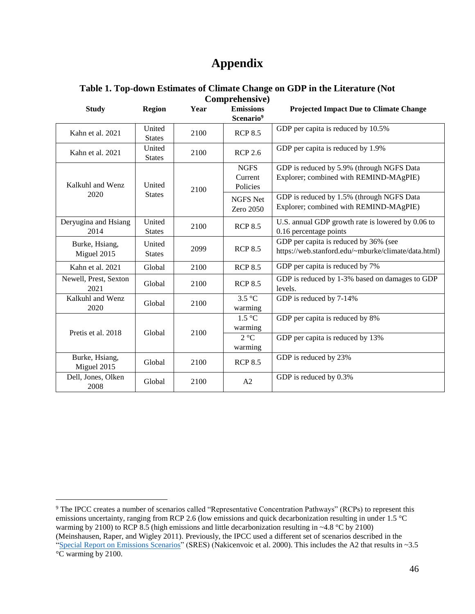# **Appendix**

<span id="page-45-0"></span>

| Comprehensive)                |                         |      |                                           |                                                                                              |  |  |
|-------------------------------|-------------------------|------|-------------------------------------------|----------------------------------------------------------------------------------------------|--|--|
| <b>Study</b>                  | <b>Region</b>           | Year | <b>Emissions</b><br>Scenario <sup>9</sup> | <b>Projected Impact Due to Climate Change</b>                                                |  |  |
| Kahn et al. 2021              | United<br><b>States</b> | 2100 | <b>RCP 8.5</b>                            | GDP per capita is reduced by 10.5%                                                           |  |  |
| Kahn et al. 2021              | United<br><b>States</b> | 2100 | <b>RCP 2.6</b>                            | GDP per capita is reduced by 1.9%                                                            |  |  |
| Kalkuhl and Wenz<br>2020      | United<br><b>States</b> | 2100 | <b>NGFS</b><br>Current<br>Policies        | GDP is reduced by 5.9% (through NGFS Data<br>Explorer; combined with REMIND-MAgPIE)          |  |  |
|                               |                         |      | <b>NGFS Net</b><br>Zero 2050              | GDP is reduced by 1.5% (through NGFS Data<br>Explorer; combined with REMIND-MAgPIE)          |  |  |
| Deryugina and Hsiang<br>2014  | United<br><b>States</b> | 2100 | <b>RCP 8.5</b>                            | U.S. annual GDP growth rate is lowered by 0.06 to<br>0.16 percentage points                  |  |  |
| Burke, Hsiang,<br>Miguel 2015 | United<br><b>States</b> | 2099 | <b>RCP 8.5</b>                            | GDP per capita is reduced by 36% (see<br>https://web.stanford.edu/~mburke/climate/data.html) |  |  |
| Kahn et al. 2021              | Global                  | 2100 | <b>RCP 8.5</b>                            | GDP per capita is reduced by 7%                                                              |  |  |
| Newell, Prest, Sexton<br>2021 | Global                  | 2100 | <b>RCP 8.5</b>                            | GDP is reduced by 1-3% based on damages to GDP<br>levels.                                    |  |  |
| Kalkuhl and Wenz<br>2020      | Global                  | 2100 | $3.5^{\circ}$ C<br>warming                | GDP is reduced by 7-14%                                                                      |  |  |
| Pretis et al. 2018            | Global                  | 2100 | 1.5 °C<br>warming                         | GDP per capita is reduced by 8%                                                              |  |  |
|                               |                         |      | $2^{\circ}C$<br>warming                   | GDP per capita is reduced by 13%                                                             |  |  |
| Burke, Hsiang,<br>Miguel 2015 | Global                  | 2100 | <b>RCP 8.5</b>                            | GDP is reduced by 23%                                                                        |  |  |
| Dell, Jones, Olken<br>2008    | Global                  | 2100 | A <sub>2</sub>                            | GDP is reduced by 0.3%                                                                       |  |  |

# **Table 1. Top-down Estimates of Climate Change on GDP in the Literature (Not**

<sup>9</sup> The IPCC creates a number of scenarios called "Representative Concentration Pathways" (RCPs) to represent this emissions uncertainty, ranging from RCP 2.6 (low emissions and quick decarbonization resulting in under 1.5 °C warming by 2100) to RCP 8.5 (high emissions and little decarbonization resulting in ~4.8 °C by 2100) (Meinshausen, Raper, and Wigley 2011). Previously, the IPCC used a different set of scenarios described in the ["Special Report on Emissions Scenarios"](https://www.ipcc.ch/site/assets/uploads/2018/03/sres-en.pdf) (SRES) (Nakicenvoic et al. 2000). This includes the A2 that results in ~3.5 °C warming by 2100.

 $\overline{a}$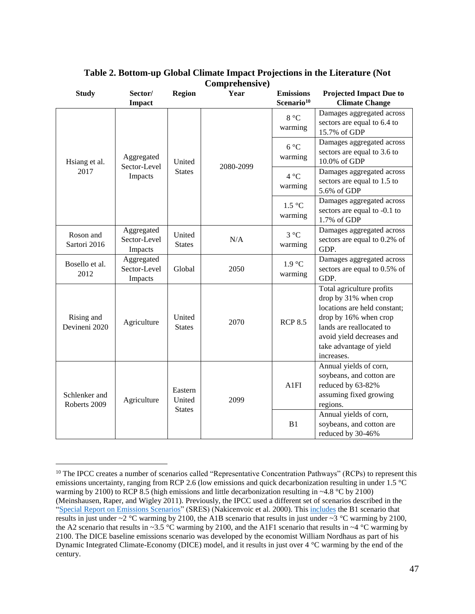<span id="page-46-0"></span>

| <b>Study</b>                  | Sector/<br><b>Impact</b>              | <b>Region</b>                      | Year      | <b>Emissions</b><br>Scenario <sup>10</sup> | <b>Projected Impact Due to</b><br><b>Climate Change</b>                                                                                                                                                       |
|-------------------------------|---------------------------------------|------------------------------------|-----------|--------------------------------------------|---------------------------------------------------------------------------------------------------------------------------------------------------------------------------------------------------------------|
| Hsiang et al.<br>2017         | Aggregated<br>Sector-Level<br>Impacts | United<br><b>States</b>            | 2080-2099 | 8 °C<br>warming                            | Damages aggregated across<br>sectors are equal to 6.4 to<br>15.7% of GDP                                                                                                                                      |
|                               |                                       |                                    |           | $6^{\circ}C$<br>warming                    | Damages aggregated across<br>sectors are equal to 3.6 to<br>10.0% of GDP                                                                                                                                      |
|                               |                                       |                                    |           | $4^{\circ}C$<br>warming                    | Damages aggregated across<br>sectors are equal to 1.5 to<br>5.6% of GDP                                                                                                                                       |
|                               |                                       |                                    |           | 1.5 °C<br>warming                          | Damages aggregated across<br>sectors are equal to -0.1 to<br>1.7% of GDP                                                                                                                                      |
| Roson and<br>Sartori 2016     | Aggregated<br>Sector-Level<br>Impacts | United<br><b>States</b>            | N/A       | $3^{\circ}C$<br>warming                    | Damages aggregated across<br>sectors are equal to 0.2% of<br>GDP.                                                                                                                                             |
| Bosello et al.<br>2012        | Aggregated<br>Sector-Level<br>Impacts | Global                             | 2050      | 1.9 °C<br>warming                          | Damages aggregated across<br>sectors are equal to 0.5% of<br>GDP.                                                                                                                                             |
| Rising and<br>Devineni 2020   | Agriculture                           | United<br><b>States</b>            | 2070      | <b>RCP 8.5</b>                             | Total agriculture profits<br>drop by 31% when crop<br>locations are held constant;<br>drop by 16% when crop<br>lands are reallocated to<br>avoid yield decreases and<br>take advantage of yield<br>increases. |
| Schlenker and<br>Roberts 2009 | Agriculture                           | Eastern<br>United<br><b>States</b> | 2099      | A1FI                                       | Annual yields of corn,<br>soybeans, and cotton are<br>reduced by 63-82%<br>assuming fixed growing<br>regions.                                                                                                 |
|                               |                                       |                                    |           | B1                                         | Annual yields of corn,<br>soybeans, and cotton are<br>reduced by 30-46%                                                                                                                                       |

# **Table 2. Bottom-up Global Climate Impact Projections in the Literature (Not Comprehensive)**

 $\overline{a}$ 

 $10$  The IPCC creates a number of scenarios called "Representative Concentration Pathways" (RCPs) to represent this emissions uncertainty, ranging from RCP 2.6 (low emissions and quick decarbonization resulting in under 1.5 °C warming by 2100) to RCP 8.5 (high emissions and little decarbonization resulting in ~4.8 °C by 2100) (Meinshausen, Raper, and Wigley 2011). Previously, the IPCC used a different set of scenarios described in the ["Special Report on Emissions Scenarios"](https://www.ipcc.ch/site/assets/uploads/2018/03/sres-en.pdf) (SRES) (Nakicenvoic et al. 2000). This [includes](https://www.narccap.ucar.edu/about/emissions.html) the B1 scenario that results in just under  $\sim$  2 °C warming by 2100, the A1B scenario that results in just under  $\sim$  3 °C warming by 2100, the A2 scenario that results in ~3.5 °C warming by 2100, and the A1F1 scenario that results in ~4 °C warming by 2100. The DICE baseline emissions scenario was developed by the economist William Nordhaus as part of his Dynamic Integrated Climate-Economy (DICE) model, and it results in just over 4 °C warming by the end of the century.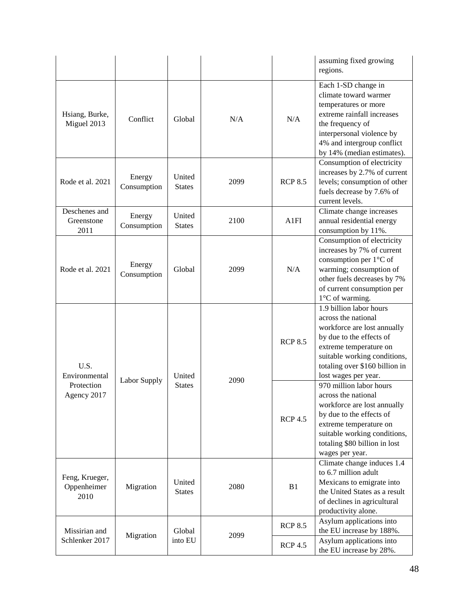|                                       |                       |                         |      |                                  | assuming fixed growing<br>regions.                                                                                                                                                                                            |
|---------------------------------------|-----------------------|-------------------------|------|----------------------------------|-------------------------------------------------------------------------------------------------------------------------------------------------------------------------------------------------------------------------------|
| Hsiang, Burke,<br>Miguel 2013         | Conflict              | Global                  | N/A  | N/A                              | Each 1-SD change in<br>climate toward warmer<br>temperatures or more<br>extreme rainfall increases<br>the frequency of<br>interpersonal violence by<br>4% and intergroup conflict<br>by 14% (median estimates).               |
| Rode et al. 2021                      | Energy<br>Consumption | United<br>States        | 2099 | <b>RCP 8.5</b>                   | Consumption of electricity<br>increases by 2.7% of current<br>levels; consumption of other<br>fuels decrease by 7.6% of<br>current levels.                                                                                    |
| Deschenes and<br>Greenstone<br>2011   | Energy<br>Consumption | United<br><b>States</b> | 2100 | A1FI                             | Climate change increases<br>annual residential energy<br>consumption by 11%.                                                                                                                                                  |
| Rode et al. 2021                      | Energy<br>Consumption | Global                  | 2099 | N/A                              | Consumption of electricity<br>increases by 7% of current<br>consumption per 1°C of<br>warming; consumption of<br>other fuels decreases by 7%<br>of current consumption per<br>1°C of warming.                                 |
| U.S.<br>Environmental                 |                       | United                  |      | <b>RCP 8.5</b>                   | 1.9 billion labor hours<br>across the national<br>workforce are lost annually<br>by due to the effects of<br>extreme temperature on<br>suitable working conditions,<br>totaling over \$160 billion in<br>lost wages per year. |
| Protection<br>Agency 2017             | Labor Supply          | <b>States</b>           | 2090 | <b>RCP 4.5</b>                   | 970 million labor hours<br>across the national<br>workforce are lost annually<br>by due to the effects of<br>extreme temperature on<br>suitable working conditions,<br>totaling \$80 billion in lost<br>wages per year.       |
| Feng, Krueger,<br>Oppenheimer<br>2010 | Migration             | United<br><b>States</b> | 2080 | B1                               | Climate change induces 1.4<br>to 6.7 million adult<br>Mexicans to emigrate into<br>the United States as a result<br>of declines in agricultural<br>productivity alone.                                                        |
| Missirian and<br>Schlenker 2017       | Migration             | Global<br>into EU       | 2099 | <b>RCP 8.5</b><br><b>RCP 4.5</b> | Asylum applications into<br>the EU increase by 188%.<br>Asylum applications into                                                                                                                                              |
|                                       |                       |                         |      |                                  | the EU increase by 28%.                                                                                                                                                                                                       |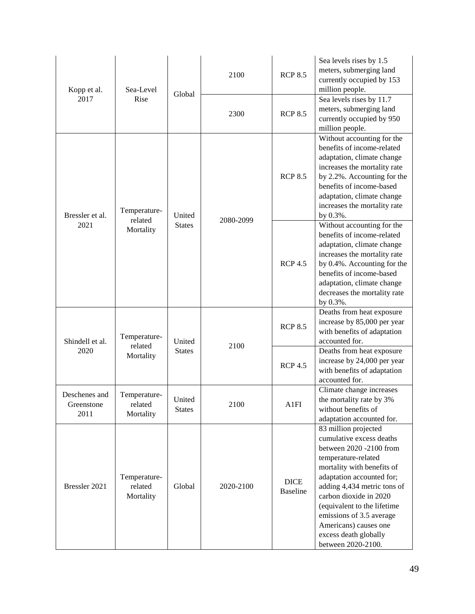| Kopp et al.<br>2017                 | Sea-Level<br>Rise                    | Global                  | 2100      | <b>RCP 8.5</b>                 | Sea levels rises by 1.5<br>meters, submerging land<br>currently occupied by 153<br>million people.                                                                                                                                                                                                                                                        |
|-------------------------------------|--------------------------------------|-------------------------|-----------|--------------------------------|-----------------------------------------------------------------------------------------------------------------------------------------------------------------------------------------------------------------------------------------------------------------------------------------------------------------------------------------------------------|
|                                     |                                      |                         | 2300      | <b>RCP 8.5</b>                 | Sea levels rises by 11.7<br>meters, submerging land<br>currently occupied by 950<br>million people.                                                                                                                                                                                                                                                       |
| Bressler et al.<br>2021             | Temperature-<br>related<br>Mortality | United<br><b>States</b> | 2080-2099 | <b>RCP 8.5</b>                 | Without accounting for the<br>benefits of income-related<br>adaptation, climate change<br>increases the mortality rate<br>by 2.2%. Accounting for the<br>benefits of income-based<br>adaptation, climate change<br>increases the mortality rate<br>by 0.3%.                                                                                               |
|                                     |                                      |                         |           | <b>RCP 4.5</b>                 | Without accounting for the<br>benefits of income-related<br>adaptation, climate change<br>increases the mortality rate<br>by 0.4%. Accounting for the<br>benefits of income-based<br>adaptation, climate change<br>decreases the mortality rate<br>by 0.3%.                                                                                               |
| Shindell et al.<br>2020             | Temperature-<br>related<br>Mortality | United<br><b>States</b> | 2100      | <b>RCP 8.5</b>                 | Deaths from heat exposure<br>increase by 85,000 per year<br>with benefits of adaptation<br>accounted for.                                                                                                                                                                                                                                                 |
|                                     |                                      |                         |           | <b>RCP 4.5</b>                 | Deaths from heat exposure<br>increase by 24,000 per year<br>with benefits of adaptation<br>accounted for.                                                                                                                                                                                                                                                 |
| Deschenes and<br>Greenstone<br>2011 | Temperature-<br>related<br>Mortality | United<br><b>States</b> | 2100      | A1FI                           | Climate change increases<br>the mortality rate by 3%<br>without benefits of<br>adaptation accounted for.                                                                                                                                                                                                                                                  |
| Bressler 2021                       | Temperature-<br>related<br>Mortality | Global                  | 2020-2100 | <b>DICE</b><br><b>Baseline</b> | 83 million projected<br>cumulative excess deaths<br>between 2020 -2100 from<br>temperature-related<br>mortality with benefits of<br>adaptation accounted for;<br>adding 4,434 metric tons of<br>carbon dioxide in 2020<br>(equivalent to the lifetime<br>emissions of 3.5 average<br>Americans) causes one<br>excess death globally<br>between 2020-2100. |